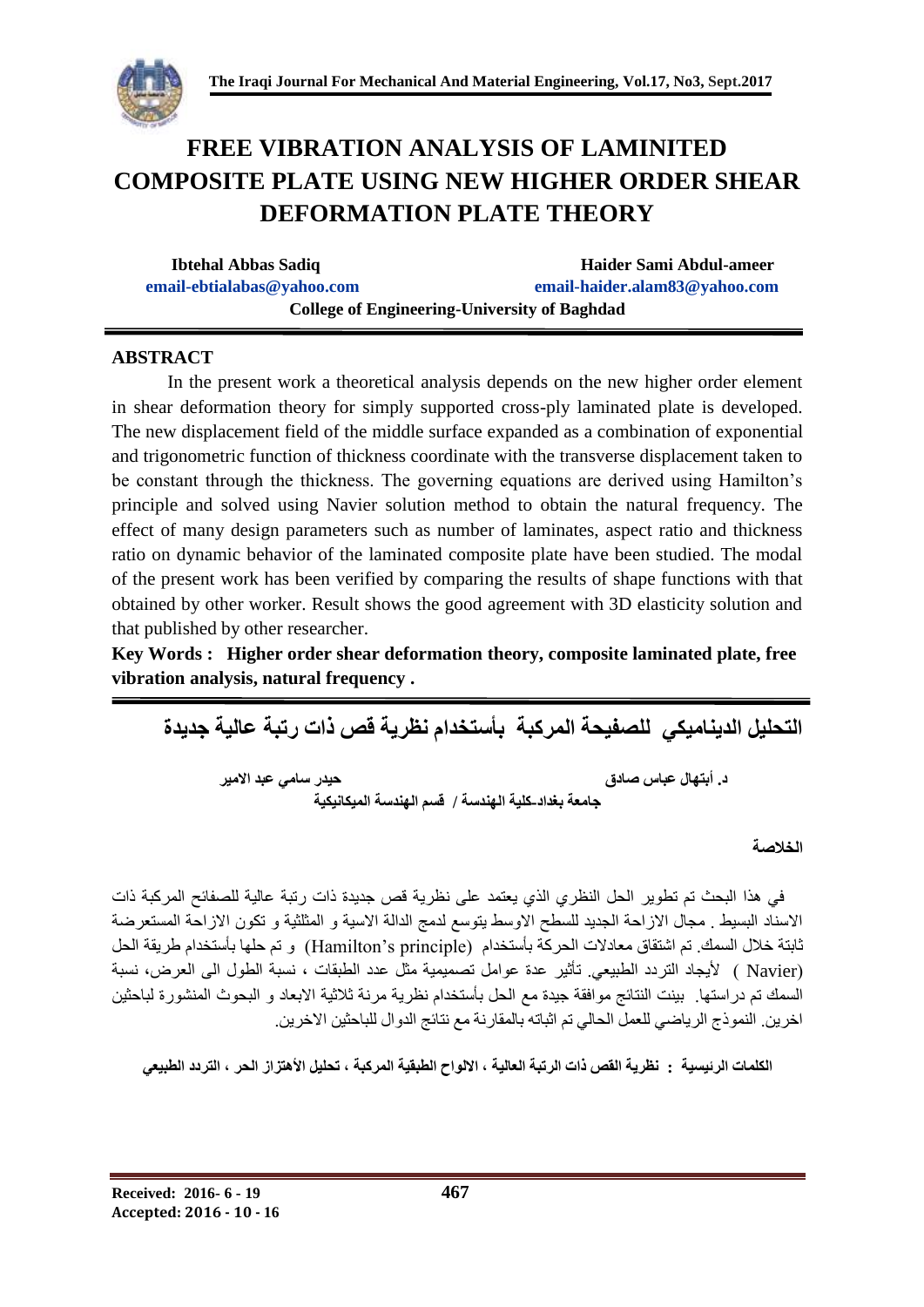

# **FREE VIBRATION ANALYSIS OF LAMINITED COMPOSITE PLATE USING NEW HIGHER ORDER SHEAR DEFORMATION PLATE THEORY**

| <b>Ibtehal Abbas Sadiq</b>                          | Haider Sami Abdul-ameer       |  |  |  |  |
|-----------------------------------------------------|-------------------------------|--|--|--|--|
| email-ebtialabas@yahoo.com                          | email-haider.alam83@yahoo.com |  |  |  |  |
| <b>College of Engineering-University of Baghdad</b> |                               |  |  |  |  |

## **ABSTRACT**

In the present work a theoretical analysis depends on the new higher order element in shear deformation theory for simply supported cross-ply laminated plate is developed. The new displacement field of the middle surface expanded as a combination of exponential and trigonometric function of thickness coordinate with the transverse displacement taken to be constant through the thickness. The governing equations are derived using Hamilton's principle and solved using Navier solution method to obtain the natural frequency. The effect of many design parameters such as number of laminates, aspect ratio and thickness ratio on dynamic behavior of the laminated composite plate have been studied. The modal of the present work has been verified by comparing the results of shape functions with that obtained by other worker. Result shows the good agreement with 3D elasticity solution and that published by other researcher.

**Key Words : Higher order shear deformation theory, composite laminated plate, free vibration analysis, natural frequency .**

**التحليل الديناميكي للصفيحة المركبة بأستخدام نظرية قص ذات رتبة عالية جديدة د. أبتهال عباس صادق حيدر سامي عبد االمير جامعة بغداد-كلية الهندسة / قسم الهندسة الميكانيكية**

## **الخالصة**

 في هذا البحث تم تطوير الحل النظري الذي يعتمد على نظرية قص جديدة ذات رتبة عالية للصفائح المركبة ذات االسناد البسيط . مجال االزاحة الجديد للسطح االوسط يتوسع لدمج الدالة االسية و المثلثية و تكون االزاحة المستعرضة ثابتة خلال السمك. تم اشتقاق معادلات الحركة بأستخدام (Hamilton's principle) و تم حلها بأستخدام طريقة الحل )Navier ) أليجاد التردد الطبيعي. تأثير عدة عوامل تصميمية مثل عدد الطبقات ، نسبة الطول الى العرض، نسبة السمك تم دراستها. بينت النتائج موافقة جيدة مع الحل بأستخدام نظرية مرنة ثالثية االبعاد و البحوث المنشورة لباحثين اخرين. النموذج الرياضي للعمل الحالي تم اثباته بالمقارنة مع نتائج الدوال للباحثين االخرين.

**الكلمات الرئيسية : نظرية القص ذات الرتبة العالية , االلواح الطبقية المركبة , تحليل األهتزاز الحر , التردد الطبيعي**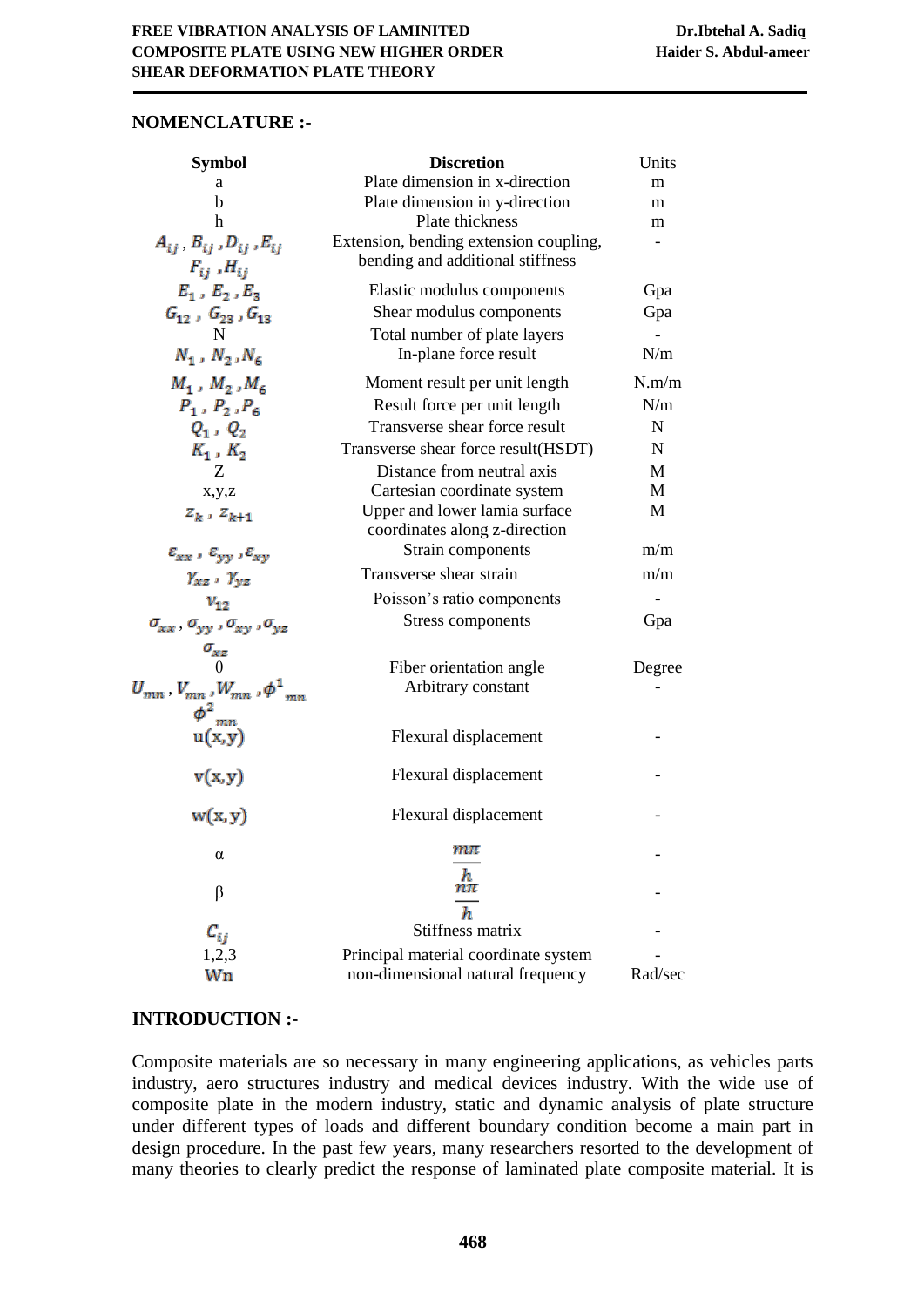## **NOMENCLATURE :-**

| <b>Symbol</b>                                                 | <b>Discretion</b>                                                          | Units   |  |
|---------------------------------------------------------------|----------------------------------------------------------------------------|---------|--|
| a                                                             | Plate dimension in x-direction                                             |         |  |
| b                                                             | Plate dimension in y-direction                                             | m       |  |
| h                                                             | Plate thickness                                                            | m       |  |
| $A_{ij}$ , $B_{ij}$ , $D_{ij}$ , $E_{ij}$                     | Extension, bending extension coupling,<br>bending and additional stiffness |         |  |
| $F_{ij}$ , $H_{ij}$                                           |                                                                            |         |  |
| $E_1$ , $E_2$ , $E_3$                                         | Elastic modulus components                                                 | Gpa     |  |
| $G_{12}$ , $G_{23}$ , $G_{13}$ ${\rm N}$                      | Shear modulus components                                                   | Gpa     |  |
|                                                               | Total number of plate layers                                               |         |  |
| $N_1$ , $N_2$ , $N_6$                                         | In-plane force result                                                      | N/m     |  |
| $M_1$ , $M_2$ , $M_6$                                         | Moment result per unit length                                              | N.m/m   |  |
| $P_1$ , $P_2$ , $P_6$                                         | Result force per unit length                                               | N/m     |  |
| $Q_1, Q_2$                                                    | Transverse shear force result                                              | N       |  |
| $K_1$ , $K_2$                                                 | Transverse shear force result (HSDT)                                       | N       |  |
| Ζ                                                             | Distance from neutral axis                                                 | M       |  |
| x,y,z                                                         | Cartesian coordinate system                                                | M       |  |
| $z_k$ , $z_{k+1}$                                             | Upper and lower lamia surface                                              | M       |  |
|                                                               | coordinates along z-direction                                              |         |  |
| $\varepsilon_{xx}$ , $\varepsilon_{yy}$ , $\varepsilon_{xy}$  | Strain components                                                          | m/m     |  |
| $\gamma_{xz}$ , $\gamma_{yz}$                                 | Transverse shear strain                                                    | m/m     |  |
| $v_{12}$                                                      | Poisson's ratio components                                                 |         |  |
| $\sigma_{xx}$ , $\sigma_{yy}$ , $\sigma_{xy}$ , $\sigma_{yz}$ | Stress components                                                          | Gpa     |  |
| $\sigma_{xz}$<br>$\theta$                                     |                                                                            |         |  |
|                                                               | Fiber orientation angle                                                    | Degree  |  |
| $U_{mn}$ , $V_{mn}$ , $W_{mn}$ , $\phi^1_{mn}$                | Arbitrary constant                                                         |         |  |
| $\frac{\phi^2_{mn}}{u(x,y)}$                                  | Flexural displacement                                                      |         |  |
| v(x,y)                                                        | Flexural displacement                                                      |         |  |
| w(x, y)                                                       | Flexural displacement                                                      |         |  |
| α                                                             | $m\pi$                                                                     |         |  |
| β                                                             | h<br>$n\pi$                                                                |         |  |
|                                                               | $\boldsymbol{h}$                                                           |         |  |
| $c_{ij}$                                                      | Stiffness matrix                                                           |         |  |
| 1,2,3                                                         | Principal material coordinate system                                       |         |  |
| Wn                                                            | non-dimensional natural frequency                                          | Rad/sec |  |

# **INTRODUCTION :-**

Composite materials are so necessary in many engineering applications, as vehicles parts industry, aero structures industry and medical devices industry. With the wide use of composite plate in the modern industry, static and dynamic analysis of plate structure under different types of loads and different boundary condition become a main part in design procedure. In the past few years, many researchers resorted to the development of many theories to clearly predict the response of laminated plate composite material. It is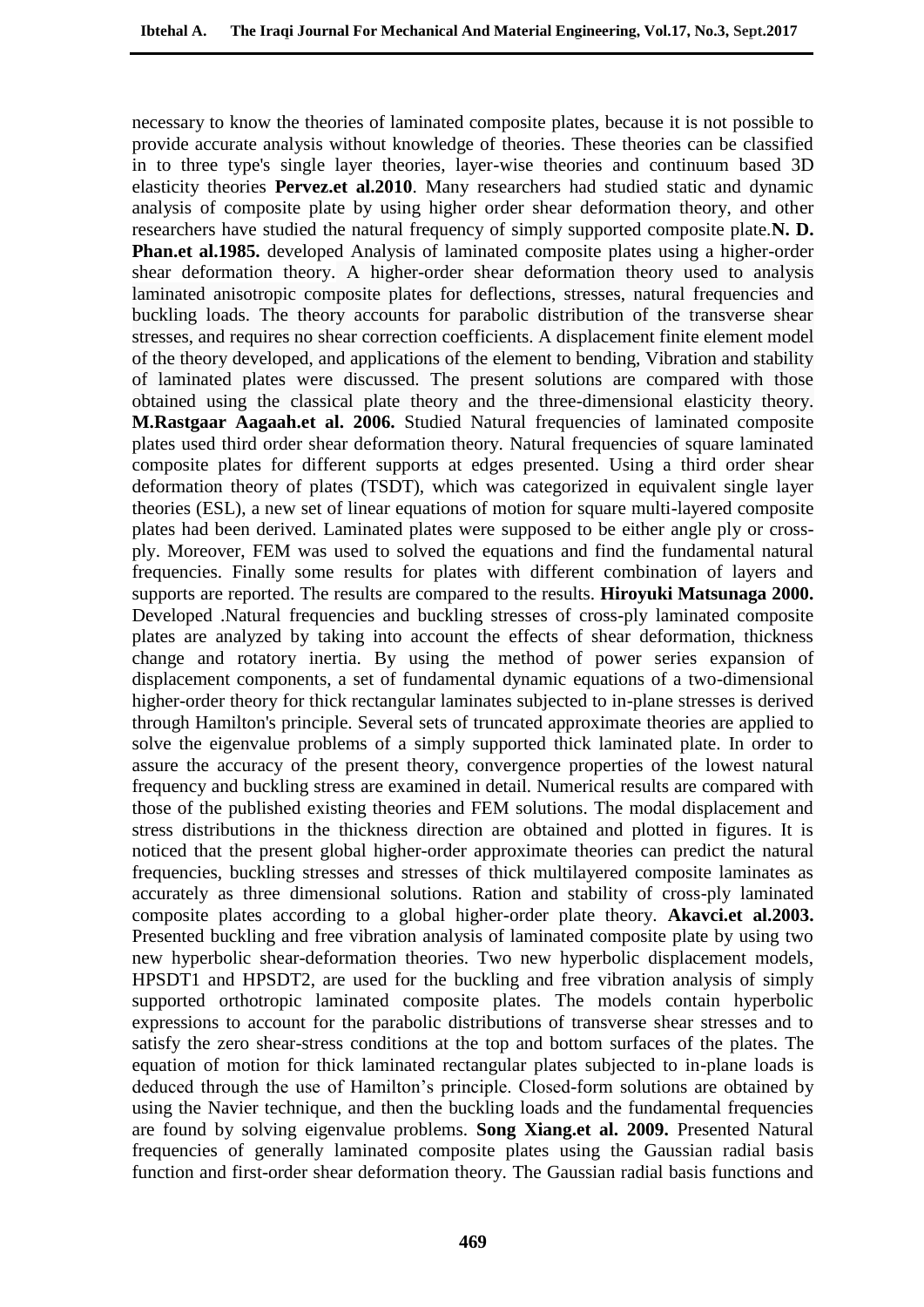necessary to know the theories of laminated composite plates, because it is not possible to provide accurate analysis without knowledge of theories. These theories can be classified in to three type's single layer theories, layer-wise theories and continuum based 3D elasticity theories **Pervez.et al.2010**. Many researchers had studied static and dynamic analysis of composite plate by using higher order shear deformation theory, and other researchers have studied the natural frequency of simply supported composite plate.**N. D. Phan.et al.1985.** developed Analysis of laminated composite plates using a higher-order shear deformation theory. A higher-order shear deformation theory used to analysis laminated anisotropic composite plates for deflections, stresses, natural frequencies and buckling loads. The theory accounts for parabolic distribution of the transverse shear stresses, and requires no shear correction coefficients. A displacement finite element model of the theory developed, and applications of the element to bending, Vibration and stability of laminated plates were discussed. The present solutions are compared with those obtained using the classical plate theory and the three-dimensional elasticity theory. **M.Rastgaar Aagaah.et al. 2006.** Studied Natural frequencies of laminated composite plates used third order shear deformation theory. Natural frequencies of square laminated composite plates for different supports at edges presented. Using a third order shear deformation theory of plates (TSDT), which was categorized in equivalent single layer theories (ESL), a new set of linear equations of motion for square multi-layered composite plates had been derived. Laminated plates were supposed to be either angle ply or crossply. Moreover, FEM was used to solved the equations and find the fundamental natural frequencies. Finally some results for plates with different combination of layers and supports are reported. The results are compared to the results. **Hiroyuki Matsunaga 2000.**  Developed .Natural frequencies and buckling stresses of cross-ply laminated composite plates are analyzed by taking into account the effects of shear deformation, thickness change and rotatory inertia. By using the method of power series expansion of displacement components, a set of fundamental dynamic equations of a two-dimensional higher-order theory for thick rectangular laminates subjected to in-plane stresses is derived through Hamilton's principle. Several sets of truncated approximate theories are applied to solve the eigenvalue problems of a simply supported thick laminated plate. In order to assure the accuracy of the present theory, convergence properties of the lowest natural frequency and buckling stress are examined in detail. Numerical results are compared with those of the published existing theories and FEM solutions. The modal displacement and stress distributions in the thickness direction are obtained and plotted in figures. It is noticed that the present global higher-order approximate theories can predict the natural frequencies, buckling stresses and stresses of thick multilayered composite laminates as accurately as three dimensional solutions. Ration and stability of cross-ply laminated composite plates according to a global higher-order plate theory. **Akavci.et al.2003.**  Presented buckling and free vibration analysis of laminated composite plate by using two new hyperbolic shear-deformation theories. Two new hyperbolic displacement models, HPSDT1 and HPSDT2, are used for the buckling and free vibration analysis of simply supported orthotropic laminated composite plates. The models contain hyperbolic expressions to account for the parabolic distributions of transverse shear stresses and to satisfy the zero shear-stress conditions at the top and bottom surfaces of the plates. The equation of motion for thick laminated rectangular plates subjected to in-plane loads is deduced through the use of Hamilton's principle. Closed-form solutions are obtained by using the Navier technique, and then the buckling loads and the fundamental frequencies are found by solving eigenvalue problems. **Song Xiang.et al. 2009.** Presented Natural frequencies of generally laminated composite plates using the Gaussian radial basis function and first-order shear deformation theory. The Gaussian radial basis functions and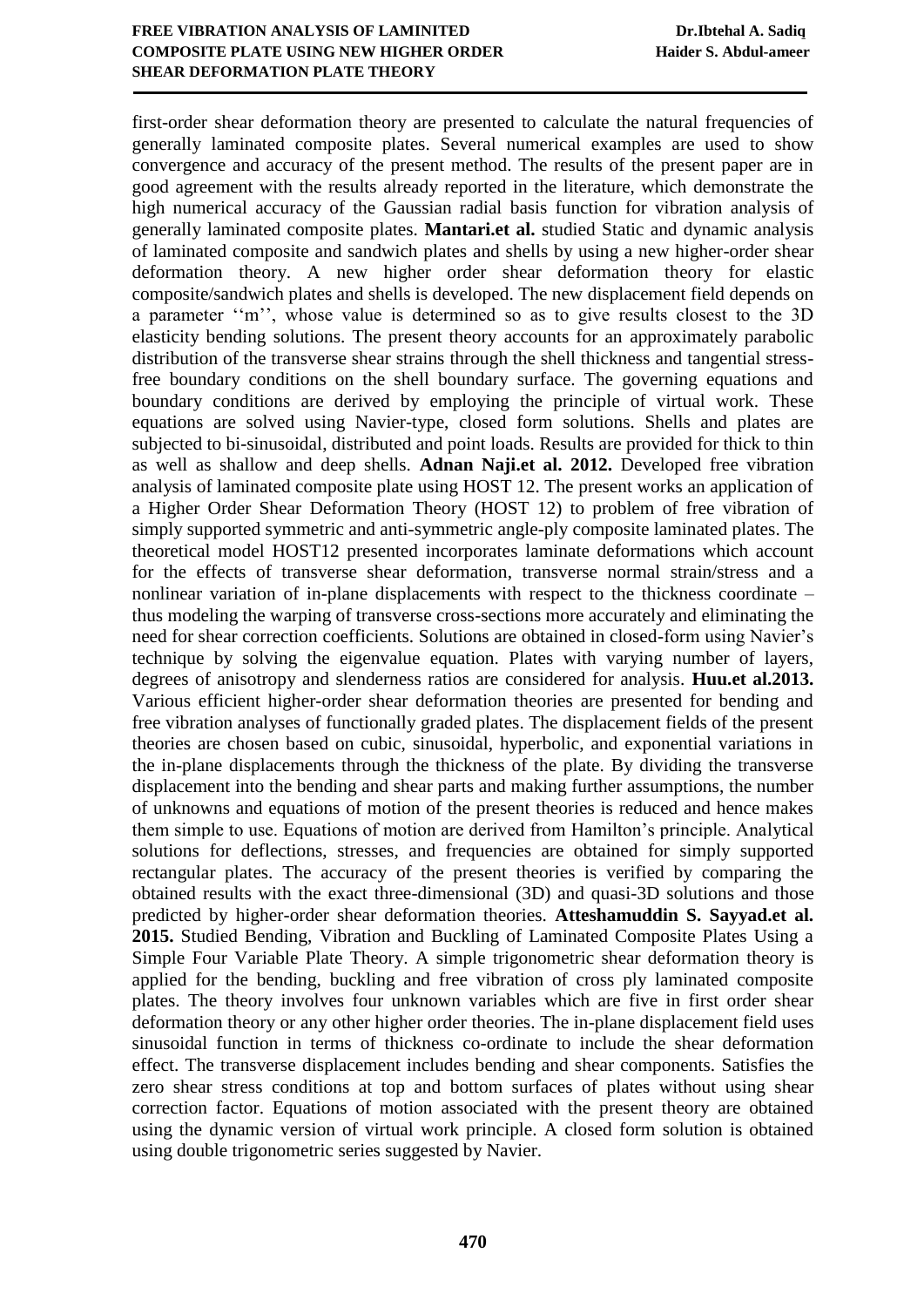## **FREE VIBRATION ANALYSIS OF LAMINITED Dr.Ibtehal A. Sadiq COMPOSITE PLATE USING NEW HIGHER ORDER Haider S. Abdul-ameer SHEAR DEFORMATION PLATE THEORY**

first-order shear deformation theory are presented to calculate the natural frequencies of generally laminated composite plates. Several numerical examples are used to show convergence and accuracy of the present method. The results of the present paper are in good agreement with the results already reported in the literature, which demonstrate the high numerical accuracy of the Gaussian radial basis function for vibration analysis of generally laminated composite plates. **Mantari.et al.** studied Static and dynamic analysis of laminated composite and sandwich plates and shells by using a new higher-order shear deformation theory. A new higher order shear deformation theory for elastic composite/sandwich plates and shells is developed. The new displacement field depends on a parameter ''m'', whose value is determined so as to give results closest to the 3D elasticity bending solutions. The present theory accounts for an approximately parabolic distribution of the transverse shear strains through the shell thickness and tangential stressfree boundary conditions on the shell boundary surface. The governing equations and boundary conditions are derived by employing the principle of virtual work. These equations are solved using Navier-type, closed form solutions. Shells and plates are subjected to bi-sinusoidal, distributed and point loads. Results are provided for thick to thin as well as shallow and deep shells. **Adnan Naji.et al. 2012.** Developed free vibration analysis of laminated composite plate using HOST 12. The present works an application of a Higher Order Shear Deformation Theory (HOST 12) to problem of free vibration of simply supported symmetric and anti-symmetric angle-ply composite laminated plates. The theoretical model HOST12 presented incorporates laminate deformations which account for the effects of transverse shear deformation, transverse normal strain/stress and a nonlinear variation of in-plane displacements with respect to the thickness coordinate – thus modeling the warping of transverse cross-sections more accurately and eliminating the need for shear correction coefficients. Solutions are obtained in closed-form using Navier's technique by solving the eigenvalue equation. Plates with varying number of layers, degrees of anisotropy and slenderness ratios are considered for analysis. **Huu.et al.2013.**  Various efficient higher-order shear deformation theories are presented for bending and free vibration analyses of functionally graded plates. The displacement fields of the present theories are chosen based on cubic, sinusoidal, hyperbolic, and exponential variations in the in-plane displacements through the thickness of the plate. By dividing the transverse displacement into the bending and shear parts and making further assumptions, the number of unknowns and equations of motion of the present theories is reduced and hence makes them simple to use. Equations of motion are derived from Hamilton's principle. Analytical solutions for deflections, stresses, and frequencies are obtained for simply supported rectangular plates. The accuracy of the present theories is verified by comparing the obtained results with the exact three-dimensional (3D) and quasi-3D solutions and those predicted by higher-order shear deformation theories. **Atteshamuddin S. Sayyad.et al. 2015.** Studied Bending, Vibration and Buckling of Laminated Composite Plates Using a Simple Four Variable Plate Theory. A simple trigonometric shear deformation theory is applied for the bending, buckling and free vibration of cross ply laminated composite plates. The theory involves four unknown variables which are five in first order shear deformation theory or any other higher order theories. The in-plane displacement field uses sinusoidal function in terms of thickness co-ordinate to include the shear deformation effect. The transverse displacement includes bending and shear components. Satisfies the zero shear stress conditions at top and bottom surfaces of plates without using shear correction factor. Equations of motion associated with the present theory are obtained using the dynamic version of virtual work principle. A closed form solution is obtained using double trigonometric series suggested by Navier.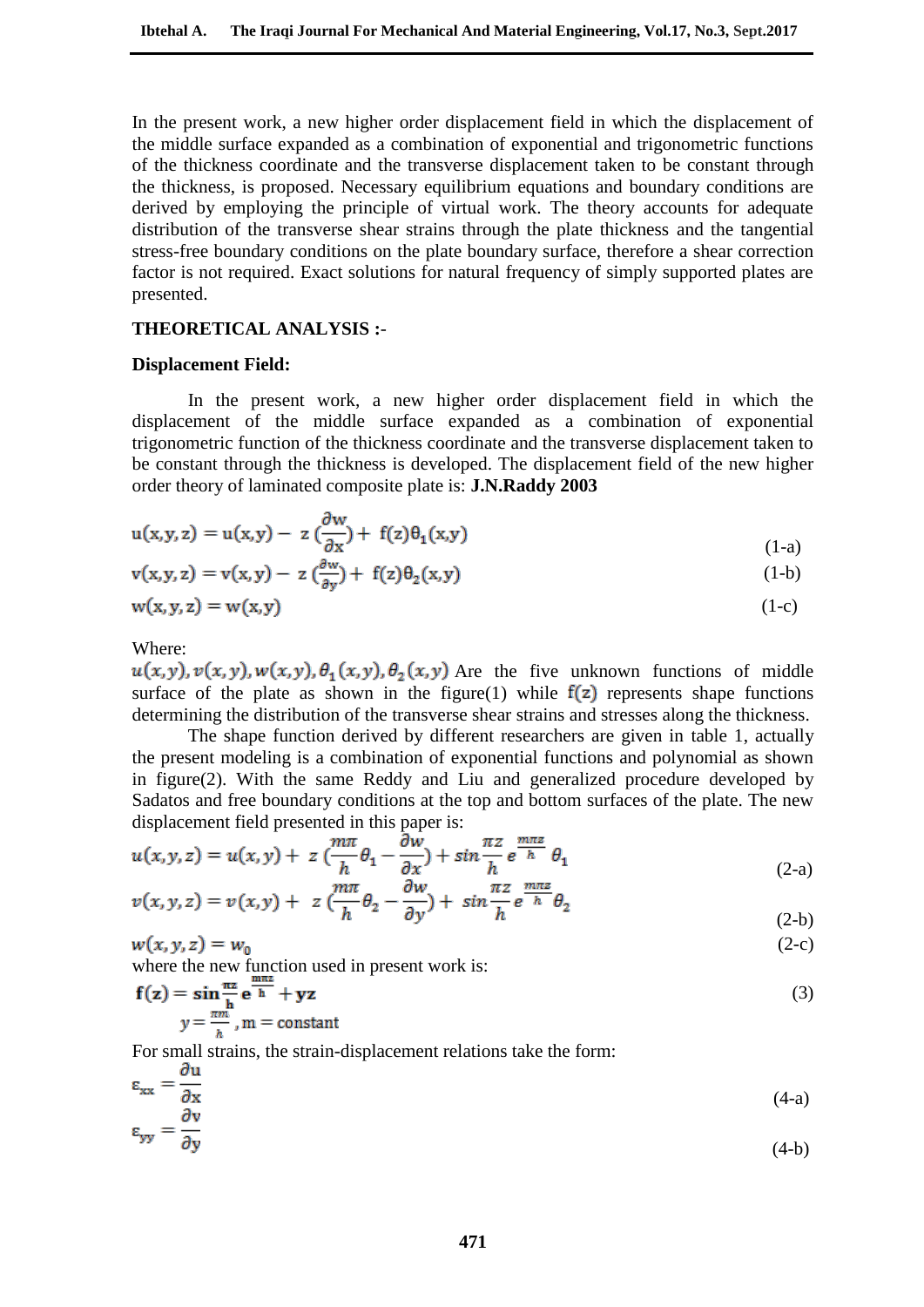In the present work, a new higher order displacement field in which the displacement of the middle surface expanded as a combination of exponential and trigonometric functions of the thickness coordinate and the transverse displacement taken to be constant through the thickness, is proposed. Necessary equilibrium equations and boundary conditions are derived by employing the principle of virtual work. The theory accounts for adequate distribution of the transverse shear strains through the plate thickness and the tangential stress-free boundary conditions on the plate boundary surface, therefore a shear correction factor is not required. Exact solutions for natural frequency of simply supported plates are presented.

#### **THEORETICAL ANALYSIS :**-

#### **Displacement Field:**

In the present work, a new higher order displacement field in which the displacement of the middle surface expanded as a combination of exponential trigonometric function of the thickness coordinate and the transverse displacement taken to be constant through the thickness is developed. The displacement field of the new higher order theory of laminated composite plate is: **J.N.Raddy 2003**

$$
u(x,y,z) = u(x,y) - z \left(\frac{\partial w}{\partial x}\right) + f(z)\theta_1(x,y) \tag{1-a}
$$

$$
\mathbf{v}(\mathbf{x}, \mathbf{y}, \mathbf{z}) = \mathbf{v}(\mathbf{x}, \mathbf{y}) - \mathbf{z} \left( \frac{\partial \mathbf{w}}{\partial \mathbf{y}} \right) + \mathbf{f}(\mathbf{z}) \theta_2(\mathbf{x}, \mathbf{y}) \tag{1-b}
$$

$$
w(x, y, z) = w(x, y) \tag{1-c}
$$

Where:

 $u(x, y), v(x, y), w(x, y), \theta_1(x, y), \theta_2(x, y)$  Are the five unknown functions of middle surface of the plate as shown in the figure(1) while  $f(z)$  represents shape functions determining the distribution of the transverse shear strains and stresses along the thickness.

The shape function derived by different researchers are given in table 1, actually the present modeling is a combination of exponential functions and polynomial as shown in figure(2). With the same Reddy and Liu and generalized procedure developed by Sadatos and free boundary conditions at the top and bottom surfaces of the plate. The new displacement field presented in this paper is:

$$
u(x, y, z) = u(x, y) + z \left(\frac{m\pi}{h} \theta_1 - \frac{\partial w}{\partial x}\right) + \sin\frac{\pi z}{h} e^{\frac{m\pi z}{h}} \theta_1
$$
\n
$$
\lim_{\pi \to 0} \frac{w}{m\pi} \frac{w}{h} = \frac{m\pi z}{h}
$$
\n(2-a)

$$
v(x, y, z) = v(x, y) + z \left(\frac{m\pi}{h} \theta_2 - \frac{\partial w}{\partial y}\right) + \sin\frac{\pi z}{h} e^{\frac{m\pi z}{h}} \theta_2
$$
\n(2-b)

$$
w(x, y, z) = w_0 \tag{2-c}
$$

where the new function used in present work is:

$$
\mathbf{f}(\mathbf{z}) = \sin \frac{\pi \mathbf{z}}{\mathbf{h}} \mathbf{e}^{\frac{\pi \mathbf{m} \mathbf{z}}{\mathbf{h}}} + \mathbf{y} \mathbf{z}
$$
  
 
$$
y = \frac{\pi m}{n}, m = \text{constant}
$$
 (3)

For small strains, the strain-displacement relations take the form:

$$
\varepsilon_{xx} = \frac{\partial u}{\partial x} \tag{4-a}
$$

$$
\varepsilon_{\text{v}v} = \frac{\partial v}{\partial t}
$$

$$
\partial y \tag{4-b}
$$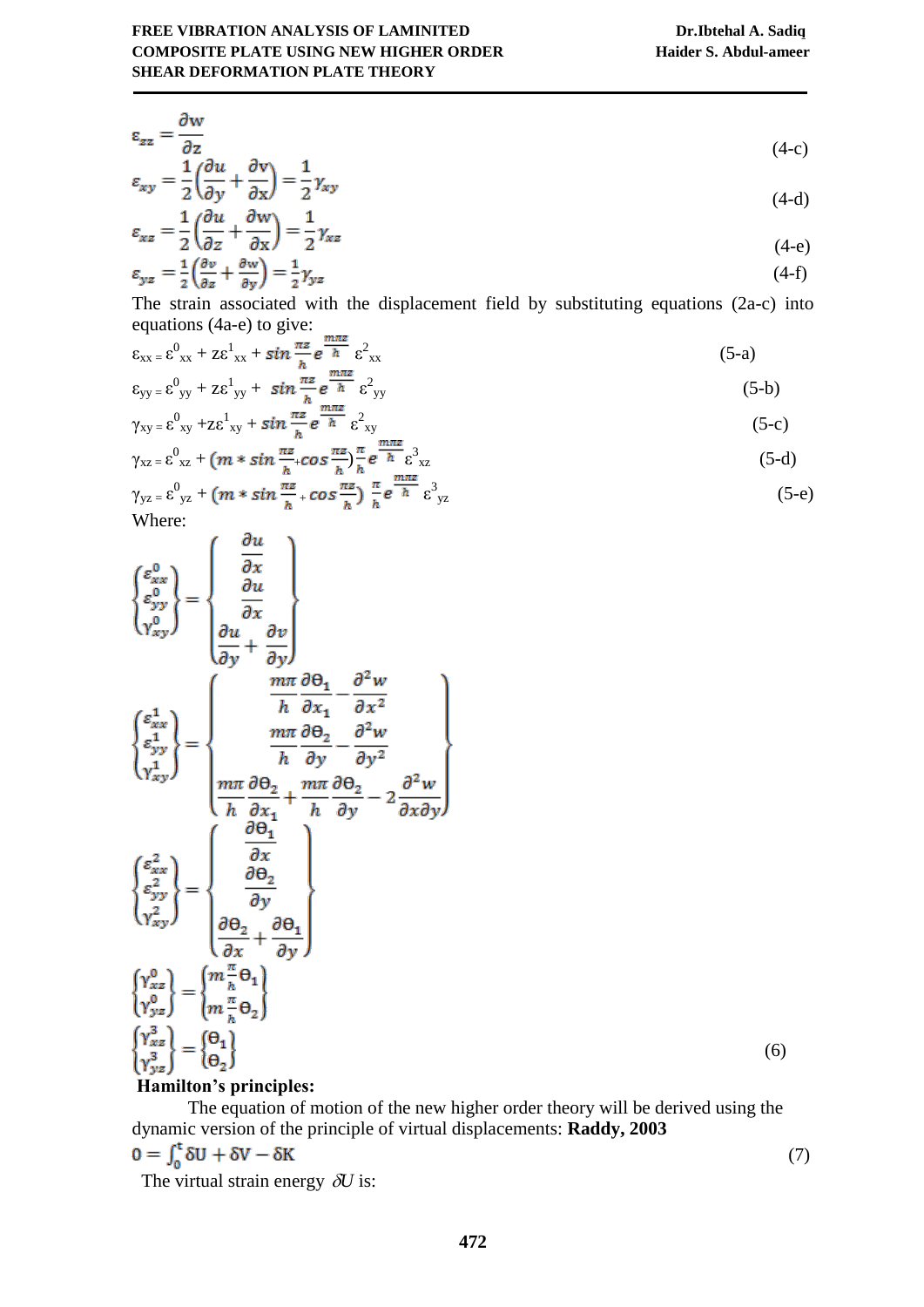$$
\varepsilon_{zz} = \frac{\partial w}{\partial z} \tag{4-c}
$$

$$
\varepsilon_{xy} = \frac{1}{2} \left( \frac{\partial u}{\partial y} + \frac{\partial v}{\partial x} \right) = \frac{1}{2} \gamma_{xy}
$$
\n
$$
(4-d)
$$

$$
\varepsilon_{xz} = \frac{1}{2} \left( \frac{1}{\partial z} + \frac{\partial z}{\partial x} \right) = \frac{1}{2} \gamma_{xz}
$$
\n
$$
\varepsilon_{yz} = \frac{1}{2} \left( \frac{\partial v}{\partial z} + \frac{\partial w}{\partial y} \right) = \frac{1}{2} \gamma_{yz}
$$
\n(4-e)\n(4-f)

The strain associated with the displacement field by substituting equations (2a-c) into equations (4a-e) to give:

$$
\varepsilon_{xx} = \varepsilon_{xx}^0 + z\varepsilon_{xx}^1 + \sin\frac{\pi z}{h} e^{\frac{m\pi z}{h}} \varepsilon_{xx}^2
$$
\n
$$
\varepsilon_{yy} = \varepsilon_{yy}^0 + z\varepsilon_{yy}^1 + \sin\frac{\pi z}{h} e^{\frac{m\pi z}{h}} \varepsilon_{yy}^2
$$
\n(5-b)

$$
\varepsilon_{yy} = \varepsilon_{yy}^0 + z\varepsilon_{yy}^1 + \sin\frac{\pi\varepsilon}{h}e^{-h}\varepsilon_{yy}^2
$$
\n
$$
\gamma_{xy} = \varepsilon_{xy}^0 + z\varepsilon_{xy}^1 + \sin\frac{\pi\varepsilon}{h}e^{-h}\varepsilon_{xy}^2
$$
\n(5-b)\n
$$
(5-c)
$$

$$
\gamma_{xz} = \varepsilon_{xz}^0 + (m * sin \frac{\pi z}{h} + cos \frac{\pi z}{h}) \frac{\pi}{h} e^{\frac{m \pi z}{h}} \varepsilon_{xz}^3
$$
\n
$$
\gamma_{yz} = \varepsilon_{yz}^0 + (m * sin \frac{\pi z}{h} + cos \frac{\pi z}{h}) \frac{\pi}{h} e^{\frac{m \pi z}{h}} \varepsilon_{yz}^3
$$
\n
$$
(5-e)
$$

Where:

$$
\begin{pmatrix}\n\varepsilon_{xx}^{0} \\
\varepsilon_{yy}^{0} \\
\gamma_{xy}^{0}\n\end{pmatrix} = \begin{pmatrix}\n\frac{\partial u}{\partial x} \\
\frac{\partial u}{\partial y} \\
\frac{\partial u}{\partial y} + \frac{\partial v}{\partial y}\n\end{pmatrix}
$$
\n
$$
\begin{pmatrix}\n\varepsilon_{xx}^{1} \\
\varepsilon_{xy}^{1} \\
\varepsilon_{yy}^{1} \\
\gamma_{xy}^{1}\n\end{pmatrix} = \begin{pmatrix}\n\frac{m\pi}{h} \frac{\partial \theta_{1}}{\partial x_{1}} - \frac{\partial^{2} w}{\partial x^{2}} \\
\frac{m\pi}{h} \frac{\partial \theta_{2}}{\partial y_{1}} - \frac{\partial^{2} w}{\partial y^{2}} \\
\frac{m\pi}{h} \frac{\partial \theta_{2}}{\partial x_{1}} + \frac{m\pi}{h} \frac{\partial \theta_{2}}{\partial y_{1}} - 2\frac{\partial^{2} w}{\partial x \partial y}\n\end{pmatrix}
$$
\n
$$
\begin{pmatrix}\n\varepsilon_{xx}^{2} \\
\varepsilon_{yy}^{2} \\
\varepsilon_{yy}^{2} \\
\gamma_{xy}^{2}\n\end{pmatrix} = \begin{pmatrix}\n\frac{\partial \theta_{1}}{\partial x} \\
\frac{\partial \theta_{2}}{\partial x} \\
\frac{\partial \theta_{2}}{\partial x} + \frac{\partial \theta_{1}}{\partial y} \\
\frac{\partial \theta_{2}}{\partial x} + \frac{\partial \theta_{1}}{\partial y}\n\end{pmatrix}
$$
\n
$$
\begin{pmatrix}\n\gamma_{xx}^{0} \\
\gamma_{yy}^{0} \\
\gamma_{yz}^{0}\n\end{pmatrix} = \begin{pmatrix}\nm_{x}^{m} \theta_{1} \\
m_{x}^{m} \theta_{2} \\
\frac{\partial \theta_{2}}{\partial x} + \frac{\partial \theta_{1}}{\partial y}\n\end{pmatrix}
$$
\n
$$
(6)
$$

# **Hamilton's principles:**

The equation of motion of the new higher order theory will be derived using the dynamic version of the principle of virtual displacements: **Raddy, 2003** (7)

The virtual strain energy  $\delta U$  is: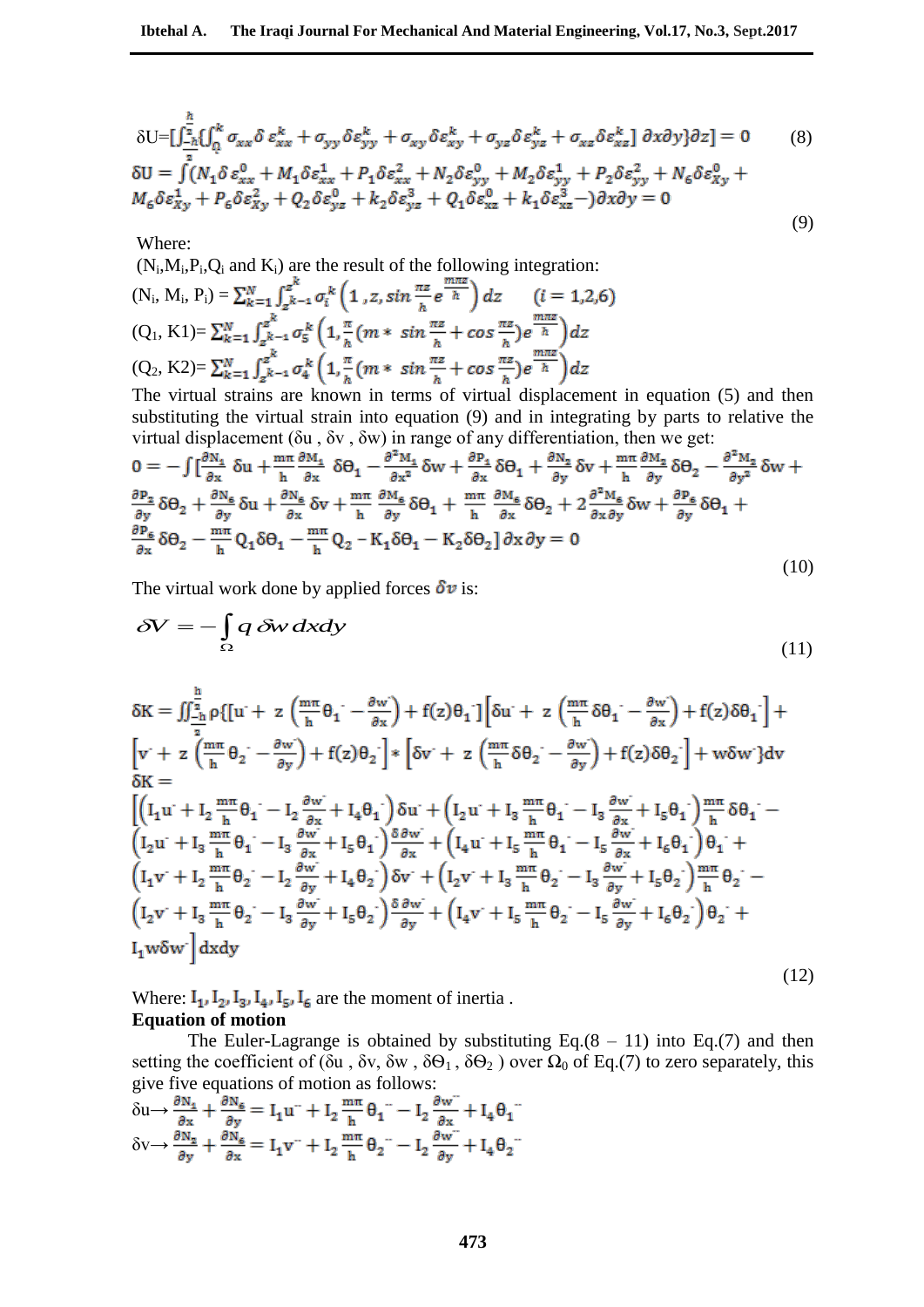$$
\delta U = \left[\int_{-\hbar}^{\frac{h}{2}} \left\{\int_{0}^{k} \sigma_{xx} \delta \varepsilon_{xx}^{k} + \sigma_{yy} \delta \varepsilon_{yy}^{k} + \sigma_{xy} \delta \varepsilon_{xy}^{k} + \sigma_{yz} \delta \varepsilon_{yz}^{k} + \sigma_{xz} \delta \varepsilon_{xz}^{k}\right] \partial x \partial y\} \partial z\right] = 0 \qquad (8)
$$
  
\n
$$
\delta U = \int_{-\hbar}^{\frac{h}{2}} (N_{1} \delta \varepsilon_{xx}^{0} + M_{1} \delta \varepsilon_{xx}^{1} + P_{1} \delta \varepsilon_{xx}^{2} + N_{2} \delta \varepsilon_{yy}^{0} + M_{2} \delta \varepsilon_{yy}^{1} + P_{2} \delta \varepsilon_{yy}^{2} + N_{6} \delta \varepsilon_{xy}^{0} + N_{6} \delta \varepsilon_{xy}^{0} + N_{6} \delta \varepsilon_{xy}^{1} + N_{6} \delta \varepsilon_{xy}^{2} + N_{2} \delta \varepsilon_{yz}^{3} + k_{2} \delta \varepsilon_{yz}^{3} + Q_{1} \delta \varepsilon_{xz}^{2} + k_{1} \delta \varepsilon_{xz}^{3} - \varepsilon_{xy}^{3} \partial x \partial y = 0
$$

(9)

Where:

 $(N_i, M_i, P_i, Q_i$  and  $K_i$ ) are the result of the following integration:  $(i = 1,2,6)$  $(N_i, M_i, P_i) =$  $(Q_1, K1) =$  $(Q_2, K2)=$ 

The virtual strains are known in terms of virtual displacement in equation (5) and then substituting the virtual strain into equation (9) and in integrating by parts to relative the virtual displacement (δu , δv , δw) in range of any differentiation, then we get:

$$
0 = -\int \left[\frac{\partial N_1}{\partial x} \delta u + \frac{m\pi}{h} \frac{\partial M_1}{\partial x} \delta \Theta_1 - \frac{\partial^2 M_1}{\partial x^2} \delta w + \frac{\partial P_1}{\partial x} \delta \Theta_1 + \frac{\partial N_2}{\partial y} \delta v + \frac{m\pi}{h} \frac{\partial M_2}{\partial y} \delta \Theta_2 - \frac{\partial^2 M_2}{\partial y^2} \delta w + \frac{\partial P_2}{\partial y} \delta \Theta_2 + \frac{\partial N_6}{\partial y} \delta u + \frac{\partial N_6}{\partial x} \delta v + \frac{m\pi}{h} \frac{\partial M_6}{\partial y} \delta \Theta_1 + \frac{m\pi}{h} \frac{\partial M_6}{\partial x} \delta \Theta_2 + 2 \frac{\partial^2 M_6}{\partial x \partial y} \delta w + \frac{\partial P_6}{\partial y} \delta \Theta_1 + \frac{\partial P_6}{\partial x} \delta \Theta_2 - \frac{m\pi}{h} Q_1 \delta \Theta_1 - \frac{m\pi}{h} Q_2 - K_1 \delta \Theta_1 - K_2 \delta \Theta_2 \right] \partial x \partial y = 0
$$
\n(10)

The virtual work done by applied forces  $\delta v$  is:

$$
\delta V = -\int_{\Omega} q \, \delta w \, dx dy \tag{11}
$$

$$
\delta K = \iint_{-\frac{h}{2}}^{\frac{h}{2}} \rho \{ [u + z \left( \frac{m\pi}{h} \theta_1 - \frac{\partial w}{\partial x} \right) + f(z) \theta_1] \left[ \delta u + z \left( \frac{m\pi}{h} \delta \theta_1 - \frac{\partial w}{\partial x} \right) + f(z) \delta \theta_1 \right] +
$$
  
\n
$$
\left[ v + z \left( \frac{m\pi}{h} \theta_2 - \frac{\partial w}{\partial y} \right) + f(z) \theta_2 \right] * \left[ \delta v + z \left( \frac{m\pi}{h} \delta \theta_2 - \frac{\partial w}{\partial y} \right) + f(z) \delta \theta_2 \right] + w \delta w \} dv
$$
  
\n
$$
\delta K = \left[ \left( I_1 u + I_2 \frac{m\pi}{h} \theta_1 - I_2 \frac{\partial w}{\partial x} + I_4 \theta_1 \right) \delta u + \left( I_2 u + I_3 \frac{m\pi}{h} \theta_1 - I_3 \frac{\partial w}{\partial x} + I_5 \theta_1 \right) \frac{m\pi}{h} \delta \theta_1 - \left( I_2 u + I_3 \frac{m\pi}{h} \theta_1 - I_3 \frac{\partial w}{\partial x} + I_5 \theta_1 \right) \frac{\delta w}{\partial x} + \left( I_4 u + I_5 \frac{m\pi}{h} \theta_1 - I_5 \frac{\partial w}{\partial x} + I_6 \theta_1 \right) \theta_1 + \left( I_1 v + I_2 \frac{m\pi}{h} \theta_2 - I_2 \frac{\partial w}{\partial y} + I_4 \theta_2 \right) \delta v + \left( I_2 v + I_3 \frac{m\pi}{h} \theta_2 - I_3 \frac{\partial w}{\partial y} + I_5 \theta_2 \right) \frac{m\pi}{h} \theta_2 - \left( I_2 v + I_3 \frac{m\pi}{h} \theta_2 - I_3 \frac{\partial w}{\partial y} + I_6 \theta_2 \right) \theta_2 + \left( I_4 w + I_5 \frac{m\pi}{h} \theta_2 - I_5 \frac{\partial w}{\partial y} + I_6 \theta_2 \right) \theta_2 + \left( I_4 w + I_6 \frac{m\pi}{h} \theta_2 - I_6 \frac{\partial w}{\partial y} + I_6
$$

Where:  $I_1$ ,  $I_2$ ,  $I_3$ ,  $I_4$ ,  $I_5$ ,  $I_6$  are the moment of inertia. **Equation of motion**

The Euler-Lagrange is obtained by substituting Eq. $(8 - 11)$  into Eq. $(7)$  and then setting the coefficient of (δu, δv, δw,  $\delta\Theta_1$ ,  $\delta\Theta_2$ ) over  $\Omega_0$  of Eq.(7) to zero separately, this give five equations of motion as follows:

$$
\delta u \rightarrow \frac{\partial N_4}{\partial x} + \frac{\partial N_6}{\partial y} = I_1 u^{...} + I_2 \frac{m\pi}{h} \theta_1^{...} - I_2 \frac{\partial w^{...}}{\partial x} + I_4 \theta_1^{...}
$$
  

$$
\delta v \rightarrow \frac{\partial N_2}{\partial y} + \frac{\partial N_6}{\partial x} = I_1 v^{...} + I_2 \frac{m\pi}{h} \theta_2^{...} - I_2 \frac{\partial w^{...}}{\partial y} + I_4 \theta_2^{...}
$$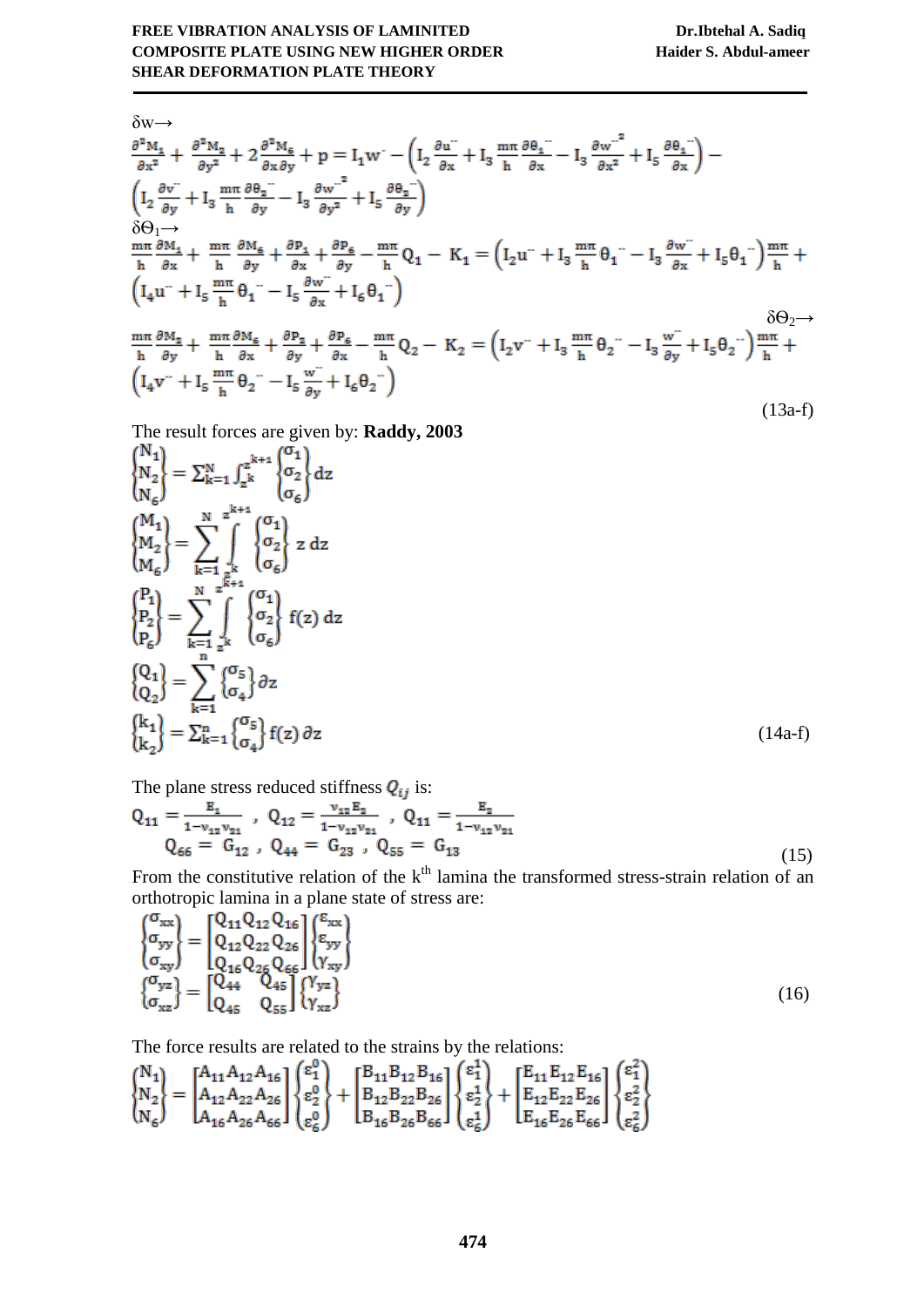$$
\delta w \rightarrow
$$
\n
$$
\frac{\partial^2 M_4}{\partial x^2} + \frac{\partial^2 M_2}{\partial y^2} + 2 \frac{\partial^2 M_6}{\partial x \partial y} + p = I_1 w^{-1} \left( I_2 \frac{\partial u^{2}}{\partial x} + I_3 \frac{m \pi}{h} \frac{\partial \theta_4}{\partial x} - I_3 \frac{\partial w^{2}}{\partial x^2} + I_5 \frac{\partial \theta_4}{\partial x} \right) -
$$
\n
$$
\left( I_2 \frac{\partial v^{2}}{\partial y} + I_3 \frac{m \pi}{h} \frac{\partial \theta_2}{\partial y} - I_3 \frac{\partial w^{2}}{\partial y^2} + I_5 \frac{\partial \theta_2}{\partial y} \right)
$$
\n
$$
\delta \Theta_1 \rightarrow
$$
\n
$$
\frac{m \pi}{h} \frac{\partial M_4}{\partial x} + \frac{m \pi}{h} \frac{\partial M_6}{\partial y} + \frac{\partial P_4}{\partial x} + \frac{\partial P_6}{\partial y} - \frac{m \pi}{h} Q_1 - K_1 = \left( I_2 u^{2} + I_3 \frac{m \pi}{h} \theta_1^{2} - I_3 \frac{\partial w^{2}}{\partial x} + I_5 \theta_1^{2} \right) \frac{m \pi}{h} +
$$
\n
$$
\left( I_4 u^{2} + I_5 \frac{m \pi}{h} \theta_1^{2} - I_5 \frac{\partial w^{2}}{\partial x} + I_6 \theta_1^{2} \right)
$$
\n
$$
\frac{m \pi}{h} \frac{\partial M_2}{\partial y} + \frac{m \pi}{h} \frac{\partial M_6}{\partial x} + \frac{\partial P_2}{\partial y} + \frac{\partial P_6}{\partial x} - \frac{m \pi}{h} Q_2 - K_2 = \left( I_2 v^{2} + I_3 \frac{m \pi}{h} \theta_2^{2} - I_3 \frac{w^{2}}{\partial y} + I_5 \theta_2^{2} \right) \frac{m \pi}{h} +
$$
\n
$$
\left( I_4 v^{2} + I_5 \frac{m \pi}{h} \theta_2^{2} - I_5 \frac{w^{2}}{\partial y} + I_6 \theta_2^{2} \right)
$$
\n
$$
(13a-f)
$$

The result forces are given by: **Raddy, 2003**

$$
\begin{aligned}\n\begin{bmatrix}\nN_{1} \\
N_{2} \\
N_{6}\n\end{bmatrix} &= \sum_{k=1}^{N} \int_{z^{k}}^{z^{k+1}} \begin{Bmatrix}\n\sigma_{1} \\
\sigma_{2} \\
\sigma_{6}\n\end{Bmatrix} dz\\
\begin{bmatrix}\nM_{1} \\
M_{2} \\
M_{6}\n\end{bmatrix} &= \sum_{k=1}^{N} \sum_{z^{k}}^{z^{k+1}} \begin{Bmatrix}\n\sigma_{1} \\
\sigma_{2} \\
\sigma_{6}\n\end{Bmatrix} z dz\\
\begin{bmatrix}\nP_{1} \\
P_{2} \\
P_{6}\n\end{bmatrix} &= \sum_{k=1}^{N} \sum_{z^{k}}^{z^{k+1}} \begin{Bmatrix}\n\sigma_{1} \\
\sigma_{2} \\
\sigma_{6}\n\end{Bmatrix} f(z) dz\\
\begin{bmatrix}\nQ_{1} \\
Q_{2}\n\end{bmatrix} &= \sum_{k=1}^{n} \begin{Bmatrix}\n\sigma_{5} \\
\sigma_{4}\n\end{Bmatrix} \partial z\\
\begin{bmatrix}\nk_{1} \\
k_{2}\n\end{bmatrix} &= \sum_{k=1}^{n} \begin{Bmatrix}\n\sigma_{5} \\
\sigma_{4}\n\end{Bmatrix} f(z) \partial z\n\end{aligned}
$$
\n(14a-f)

The plane stress reduced stiffness  $Q_{ij}$  is:

$$
Q_{11} = \frac{E_1}{1 - v_{12} v_{21}} , Q_{12} = \frac{v_{12} E_2}{1 - v_{12} v_{21}} , Q_{11} = \frac{E_2}{1 - v_{12} v_{21}}
$$
  
\n
$$
Q_{66} = G_{12} , Q_{44} = G_{23} , Q_{55} = G_{13}
$$
\n(15)

From the constitutive relation of the  $k<sup>th</sup>$  lamina the transformed stress-strain relation of an orthotropic lamina in a plane state of stress are:

$$
\begin{Bmatrix}\n\sigma_{xx} \\
\sigma_{yy} \\
\sigma_{xy}\n\end{Bmatrix} = \begin{bmatrix}\nQ_{11}Q_{12}Q_{16} \\
Q_{12}Q_{22}Q_{26} \\
Q_{16}Q_{26}Q_{66} \\
Q_{16}Q_{26}Q_{66}\n\end{bmatrix} \begin{Bmatrix}\n\varepsilon_{xx} \\
\varepsilon_{yy} \\
\gamma_{xy}\n\end{Bmatrix}
$$
\n
$$
\begin{Bmatrix}\n\sigma_{yz} \\
\sigma_{xz}\n\end{Bmatrix} = \begin{bmatrix}\nQ_{44} & Q_{45} \\
Q_{45} & Q_{55}\n\end{bmatrix} \begin{Bmatrix}\n\gamma_{yz} \\
\gamma_{xz}\n\end{Bmatrix}
$$
\n(16)

The force results are related to the strains by the relations:

$$
\begin{Bmatrix} N_{1} \\ N_{2} \\ N_{6} \end{Bmatrix} = \begin{bmatrix} A_{11}A_{12}A_{16} \\ A_{12}A_{22}A_{26} \\ A_{16}A_{26}A_{66} \end{bmatrix} \begin{Bmatrix} \epsilon_{1}^{0} \\ \epsilon_{2}^{0} \\ \epsilon_{6}^{0} \end{Bmatrix} + \begin{bmatrix} B_{11}B_{12}B_{16} \\ B_{12}B_{22}B_{26} \\ B_{16}B_{26}B_{66} \end{bmatrix} \begin{Bmatrix} \epsilon_{1}^{1} \\ \epsilon_{2}^{1} \\ \epsilon_{6}^{1} \end{Bmatrix} + \begin{bmatrix} E_{11}E_{12}E_{16} \\ E_{12}E_{22}E_{26} \\ E_{16}E_{26}E_{66} \end{bmatrix} \begin{Bmatrix} \epsilon_{1}^{2} \\ \epsilon_{2}^{2} \\ \epsilon_{6}^{2} \end{Bmatrix}
$$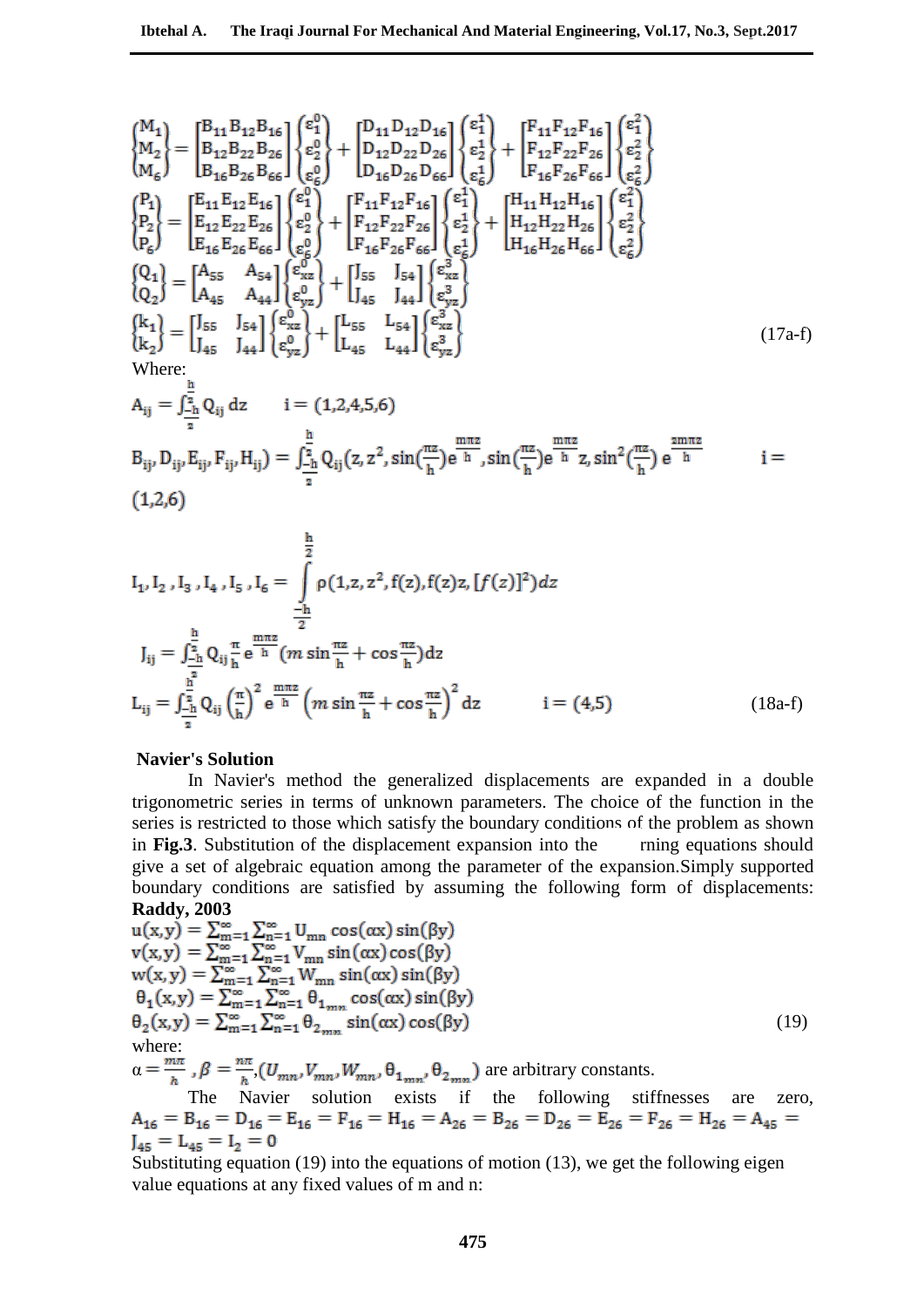$$
\begin{aligned}\n\begin{bmatrix}\nM_{1} \\
M_{2}\n\end{bmatrix} &= \begin{bmatrix}\nB_{11}B_{12}B_{16} \\
B_{12}B_{22}B_{26} \\
B_{16}B_{26}B_{66}\n\end{bmatrix}\n\begin{bmatrix}\n\varepsilon_{1}^{0} \\
\varepsilon_{2}^{0} \\
\varepsilon_{2}^{0}\n\end{bmatrix} + \begin{bmatrix}\nD_{11}D_{12}D_{16} \\
D_{12}D_{22}D_{26} \\
D_{16}D_{26}D_{66}\n\end{bmatrix}\n\begin{bmatrix}\n\varepsilon_{1}^{1} \\
\varepsilon_{2}^{1} \\
\varepsilon_{6}^{1}\n\end{bmatrix} + \begin{bmatrix}\nF_{11}F_{12}F_{16} \\
F_{12}F_{22}F_{26} \\
F_{16}F_{26}F_{66}\n\end{bmatrix}\n\begin{bmatrix}\n\varepsilon_{1}^{0} \\
\varepsilon_{2}^{2} \\
\varepsilon_{6}^{2}\n\end{bmatrix} \\
\begin{bmatrix}\nP_{1} \\
P_{2} \\
P_{2} \\
P_{6}\n\end{bmatrix} &= \begin{bmatrix}\nE_{11}E_{12}E_{16} \\
E_{12}E_{22}E_{26} \\
E_{16}E_{26}E_{66}\n\end{bmatrix}\n\begin{bmatrix}\n\varepsilon_{1}^{0} \\
\varepsilon_{2}^{0} \\
\varepsilon_{2}^{0}\n\end{bmatrix} + \begin{bmatrix}\nF_{11}F_{12}F_{16} \\
F_{12}F_{22}F_{26} \\
F_{16}F_{26}F_{66}\n\end{bmatrix}\n\begin{bmatrix}\n\varepsilon_{1}^{1} \\
\varepsilon_{2}^{1} \\
\varepsilon_{2}^{1}\n\end{bmatrix} + \begin{bmatrix}\nH_{11}H_{12}H_{16} \\
H_{12}H_{22}H_{26} \\
H_{16}H_{26}H_{66}\n\end{bmatrix}\n\begin{bmatrix}\n\varepsilon_{1}^{2} \\
\varepsilon_{2}^{2} \\
\varepsilon_{6}^{2}\n\end{bmatrix} \\
\begin{bmatrix}\nQ_{1} \\
Q_{2}\n\end{bmatrix} &= \begin{bmatrix}\nA_{55} & A_{54} \\
A_{45} & A_{4
$$

$$
A_{ij} = \int_{-\frac{h}{2}}^{\frac{h}{2}} Q_{ij} dz \t i = (1,2,4,5,6)
$$
  
\n
$$
B_{ij}, D_{ij}, E_{ij}, F_{ij}, H_{ij} = \int_{-\frac{h}{2}}^{\frac{h}{2}} Q_{ij}(z, z^2, \sin(\frac{\pi z}{h}) e^{\frac{m\pi z}{h}}, \sin(\frac{\pi z}{h}) e^{\frac{m\pi z}{h}} z, \sin^2(\frac{\pi z}{h}) e^{\frac{2m\pi z}{h}} \t i = (1,2,6)
$$

$$
I_{1}, I_{2}, I_{3}, I_{4}, I_{5}, I_{6} = \int_{-\frac{h}{2}}^{\frac{h}{2}} \rho(1, z, z^{2}, f(z), f(z)z, [f(z)]^{2}) dz
$$
  
\n
$$
J_{ij} = \int_{-\frac{h}{2}}^{\frac{h}{2}} Q_{ij} \frac{\pi}{h} e^{\frac{m\pi z}{h}} (m \sin{\frac{\pi z}{h}} + \cos{\frac{\pi z}{h}}) dz
$$
  
\n
$$
L_{ij} = \int_{-\frac{h}{2}}^{\frac{h}{2}} Q_{ij} (\frac{\pi}{h})^{2} e^{\frac{m\pi z}{h}} (m \sin{\frac{\pi z}{h}} + \cos{\frac{\pi z}{h}})^{2} dz \qquad i = (4, 5)
$$
 (18a-f)

#### **Navier's Solution**

In Navier's method the generalized displacements are expanded in a double trigonometric series in terms of unknown parameters. The choice of the function in the series is restricted to those which satisfy the boundary conditions of the problem as shown in Fig.3. Substitution of the displacement expansion into the ring equations should give a set of algebraic equation among the parameter of the expansion.Simply supported boundary conditions are satisfied by assuming the following form of displacements: **Raddy, 2003**

$$
u(x,y) = \sum_{m=1}^{\infty} \sum_{n=1}^{\infty} U_{mn} \cos(\alpha x) \sin(\beta y)
$$
  
\n
$$
v(x,y) = \sum_{m=1}^{\infty} \sum_{n=1}^{\infty} V_{mn} \sin(\alpha x) \cos(\beta y)
$$
  
\n
$$
w(x,y) = \sum_{m=1}^{\infty} \sum_{n=1}^{\infty} V_{mn} \sin(\alpha x) \sin(\beta y)
$$
  
\n
$$
\theta_1(x,y) = \sum_{m=1}^{\infty} \sum_{n=1}^{\infty} \theta_{1_{mn}} \cos(\alpha x) \sin(\beta y)
$$
  
\n
$$
\theta_2(x,y) = \sum_{m=1}^{\infty} \sum_{n=1}^{\infty} \theta_{2_{mn}} \sin(\alpha x) \cos(\beta y)
$$
  
\nwhere:  
\n
$$
\alpha = \frac{m\pi}{h}, \beta = \frac{n\pi}{h}, (U_{mn}, V_{mn}, W_{mn}, \theta_{1_{mn}}, \theta_{2_{mn}})
$$
 are arbitrary constants.  
\nThe Navier solution exists if the following stiffness are zero.

 $A_{16} = B_{16} = D_{16} = E_{16} = F_{16} = H_{16} = A_{26} = B_{26} = D_{26} = E_{26} = F_{26} = H_{26} = A_{45} =$  $I_{45} = L_{45} = I_2 = 0$ 

Substituting equation (19) into the equations of motion (13), we get the following eigen value equations at any fixed values of m and n: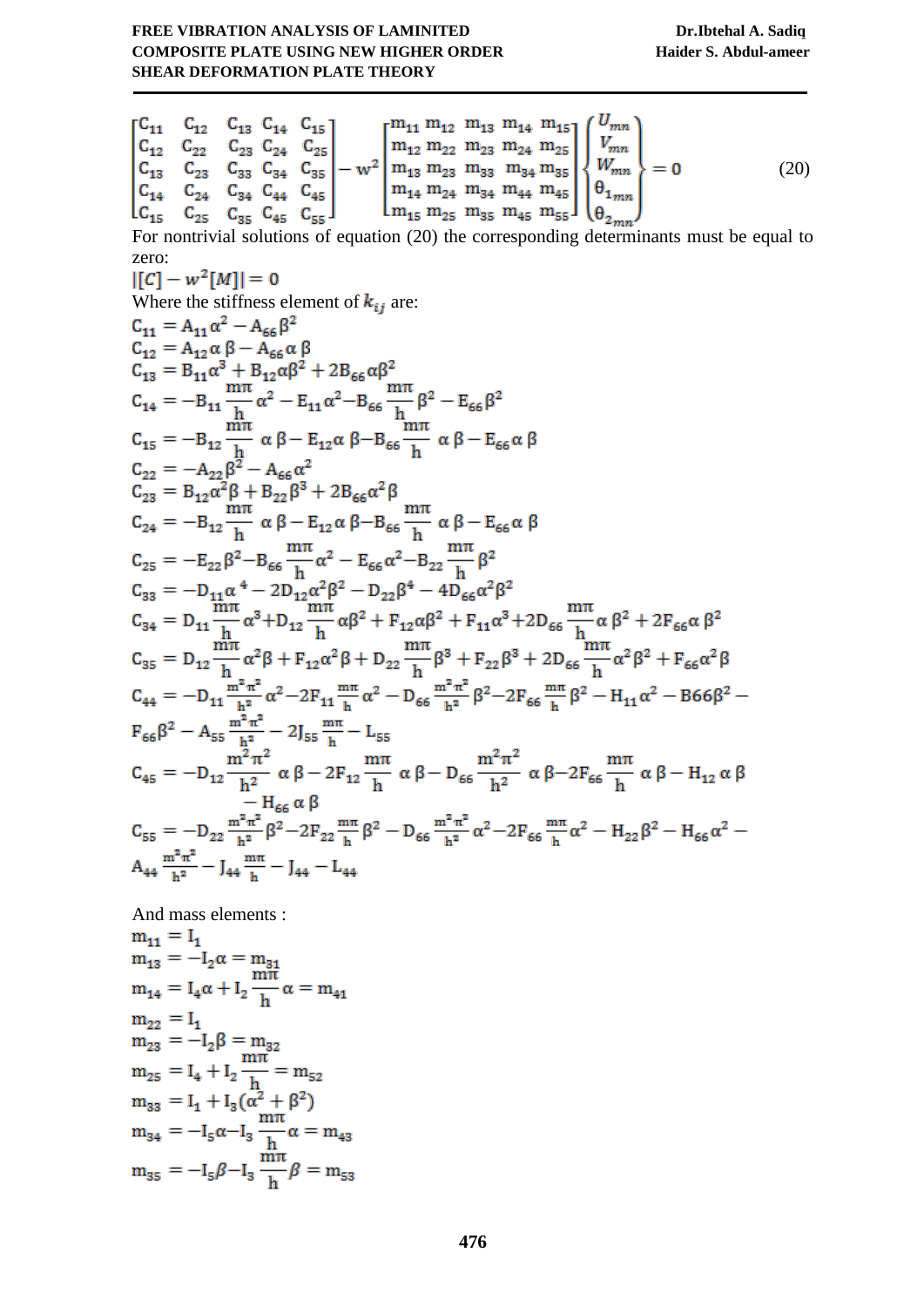$$
\begin{bmatrix}\nC_{11} & C_{12} & C_{13} & C_{14} & C_{15} \\
C_{12} & C_{22} & C_{23} & C_{24} & C_{25} \\
C_{13} & C_{23} & C_{33} & C_{34} & C_{35} \\
C_{14} & C_{24} & C_{44} & C_{44} & C_{45} \\
C_{14} & C_{24} & C_{44} & C_{44} & C_{45} \\
C_{15} & C_{15} & C_{15} & C_{15} \\
C_{16} & C_{17} & C_{18} & C_{18} \\
C_{19} & C_{10} & C_{10} & C_{115} \\
D_{10} & D_{11} & D_{12} & D_{13} \\
D_{11} & D_{12} & D_{13} & D_{14} \\
D_{12} & D_{13} & D_{14} & D_{14} \\
D_{13} & D_{23} & D_{15} & D_{15} \\
D_{14} & D_{14} & D_{14} & D_{14} \\
D_{15} & D_{16} & D_{17} \\
D_{16} & D_{17} & D_{18} \\
D_{17} & D_{18} & D_{19} \\
D_{18} & D_{19} & D_{10} \\
D_{19} & D_{10} & D_{11} \\
D_{10} & D_{11} & D_{12} \\
D_{11} & D_{12} & D_{13} \\
D_{12} & D_{13} & D_{14} \\
D_{14} & D_{12} & D_{15} \\
D_{15} & D_{16} & D_{17} \\
D_{16} & D_{17} & D_{18} \\
D_{17} & D_{18} & D_{19} \\
D_{10} & D_{10} & D_{11} \\
D_{11} & D_{12} & D_{13} \\
D_{12} & D_{13} & D_{14} \\
D_{13} & D_{14} & D_{15} \\
D_{14} & D_{15} & D_{15} \\
D_{15} & D_{15} & D_{15} \\
D_{16} & D_{16} & D_{16} \\
D_{17} & D_{18} & D_{18} \\
D_{18} & D_{19} & D_{11} \\
D_{10} & D_{11} \\
D_{11} & D_{12} \\
D_{12} & D_{
$$

And mass elements :

$$
m_{11} = I_1
$$
  
\n
$$
m_{13} = -I_2 \alpha = m_{31}
$$
  
\n
$$
m_{14} = I_4 \alpha + I_2 \frac{m\pi}{h} \alpha = m_{41}
$$
  
\n
$$
m_{22} = I_1
$$
  
\n
$$
m_{23} = -I_2 \beta = m_{32}
$$
  
\n
$$
m_{25} = I_4 + I_2 \frac{m\pi}{h} = m_{52}
$$
  
\n
$$
m_{33} = I_1 + I_3 (\alpha^2 + \beta^2)
$$
  
\n
$$
m_{34} = -I_5 \alpha - I_3 \frac{m\pi}{h} \alpha = m_{43}
$$
  
\n
$$
m_{35} = -I_5 \beta - I_3 \frac{m\pi}{h} \beta = m_{53}
$$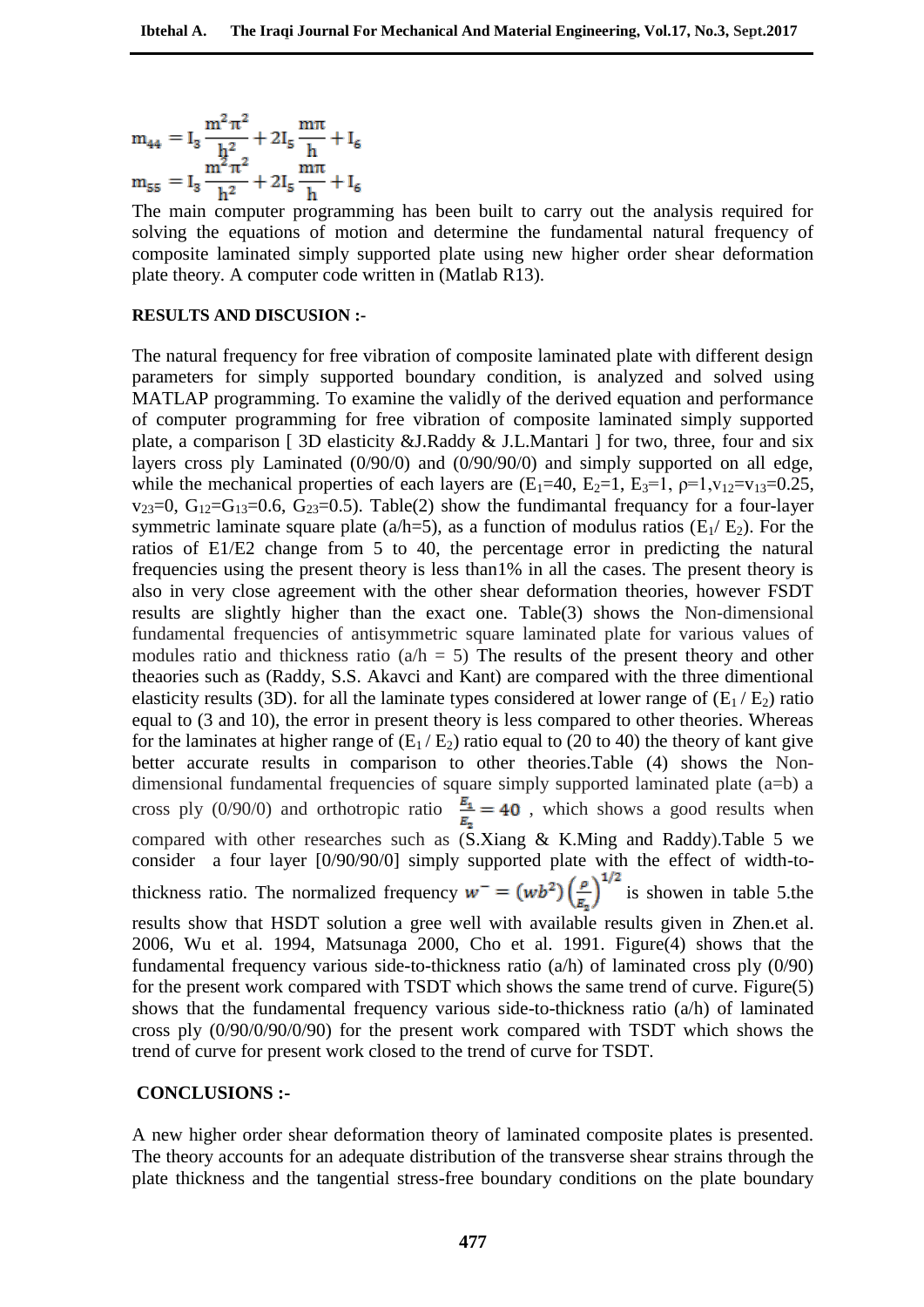$$
m_{44} = I_3 \frac{m^2 \pi^2}{h^2} + 2I_5 \frac{m\pi}{h} + I_6
$$
  

$$
m_{55} = I_3 \frac{m^2 \pi^2}{h^2} + 2I_5 \frac{m\pi}{h} + I_6
$$

The main computer programming has been built to carry out the analysis required for solving the equations of motion and determine the fundamental natural frequency of composite laminated simply supported plate using new higher order shear deformation plate theory. A computer code written in (Matlab R13).

#### **RESULTS AND DISCUSION :-**

The natural frequency for free vibration of composite laminated plate with different design parameters for simply supported boundary condition, is analyzed and solved using MATLAP programming. To examine the validly of the derived equation and performance of computer programming for free vibration of composite laminated simply supported plate, a comparison [ 3D elasticity &J.Raddy & J.L.Mantari ] for two, three, four and six layers cross ply Laminated (0/90/0) and (0/90/90/0) and simply supported on all edge, while the mechanical properties of each layers are  $(E_1=40, E_2=1, E_3=1, \rho=1, v_{12}=v_{13}=0.25,$  $v_{23}=0$ ,  $G_{12}=G_{13}=0.6$ ,  $G_{23}=0.5$ ). Table(2) show the fundimantal frequancy for a four-layer symmetric laminate square plate (a/h=5), as a function of modulus ratios ( $E_1/E_2$ ). For the ratios of E1/E2 change from 5 to 40, the percentage error in predicting the natural frequencies using the present theory is less than1% in all the cases. The present theory is also in very close agreement with the other shear deformation theories, however FSDT results are slightly higher than the exact one. Table(3) shows the Non-dimensional fundamental frequencies of antisymmetric square laminated plate for various values of modules ratio and thickness ratio  $(a/h = 5)$  The results of the present theory and other theaories such as (Raddy, S.S. Akavci and Kant) are compared with the three dimentional elasticity results (3D). for all the laminate types considered at lower range of  $(E_1 / E_2)$  ratio equal to (3 and 10), the error in present theory is less compared to other theories. Whereas for the laminates at higher range of  $(E_1 / E_2)$  ratio equal to (20 to 40) the theory of kant give better accurate results in comparison to other theories.Table (4) shows the Nondimensional fundamental frequencies of square simply supported laminated plate (a=b) a cross ply (0/90/0) and orthotropic ratio  $\frac{E_1}{E_2} = 40$ , which shows a good results when compared with other researches such as  $(S.Xiang \& K.Ming$  and Raddy).Table 5 we consider a four layer [0/90/90/0] simply supported plate with the effect of width-tothickness ratio. The normalized frequency  $w^- = (wb^2) \left(\frac{\rho}{E_2}\right)^{1/2}$  is showen in table 5.the results show that HCDP results show that HSDT solution a gree well with available results given in Zhen.et al. 2006, Wu et al. 1994, Matsunaga 2000, Cho et al. 1991. Figure(4) shows that the fundamental frequency various side-to-thickness ratio  $(a/h)$  of laminated cross ply  $(0/90)$ for the present work compared with TSDT which shows the same trend of curve. Figure(5) shows that the fundamental frequency various side-to-thickness ratio (a/h) of laminated cross ply (0/90/0/90/0/90) for the present work compared with TSDT which shows the trend of curve for present work closed to the trend of curve for TSDT.

#### **CONCLUSIONS :-**

A new higher order shear deformation theory of laminated composite plates is presented. The theory accounts for an adequate distribution of the transverse shear strains through the plate thickness and the tangential stress-free boundary conditions on the plate boundary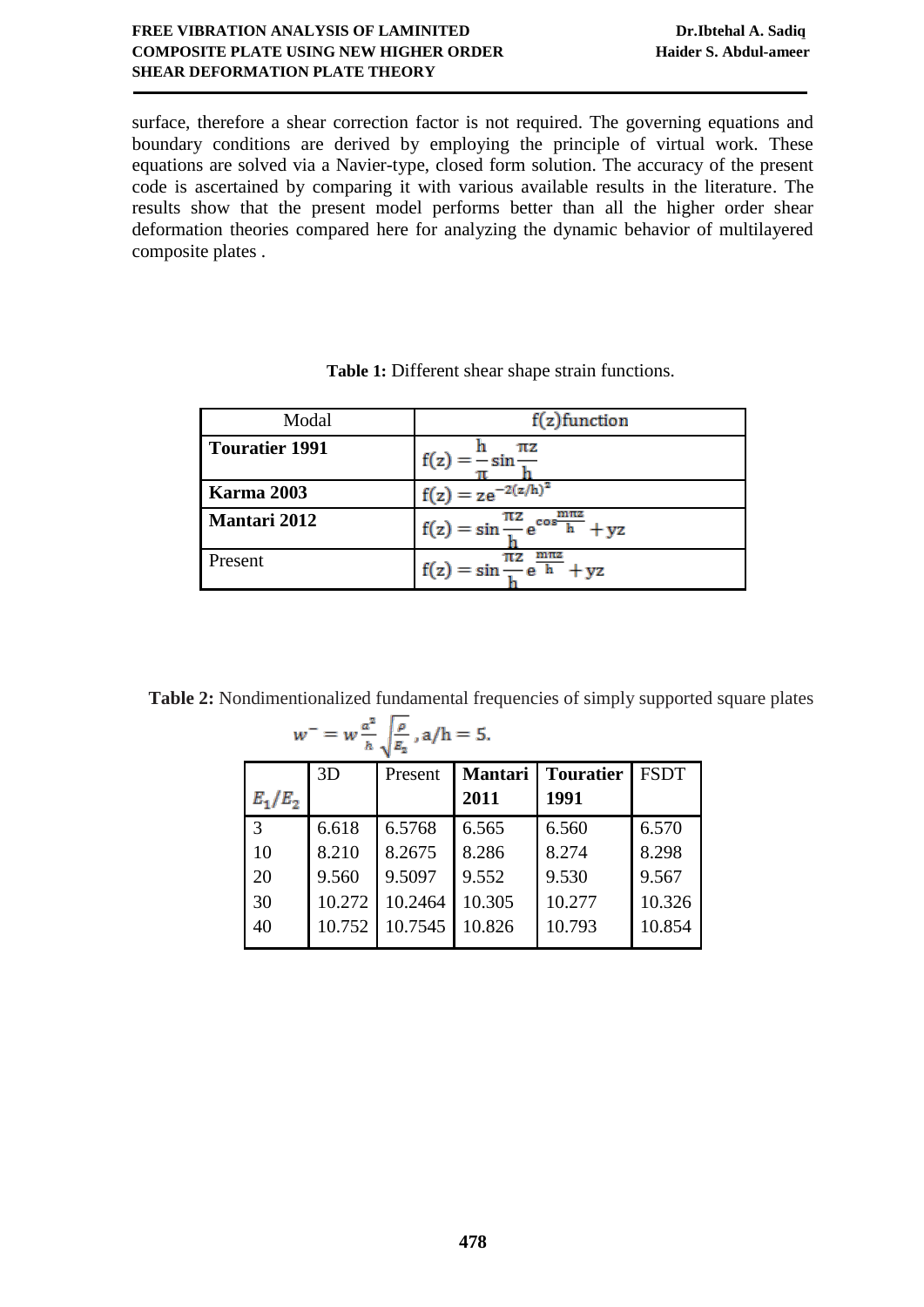## **FREE VIBRATION ANALYSIS OF LAMINITED Dr.Ibtehal A. Sadiq COMPOSITE PLATE USING NEW HIGHER ORDER Haider S. Abdul-ameer SHEAR DEFORMATION PLATE THEORY**

surface, therefore a shear correction factor is not required. The governing equations and boundary conditions are derived by employing the principle of virtual work. These equations are solved via a Navier-type, closed form solution. The accuracy of the present code is ascertained by comparing it with various available results in the literature. The results show that the present model performs better than all the higher order shear deformation theories compared here for analyzing the dynamic behavior of multilayered composite plates .

| Modal                 | $f(z)$ function                                               |  |  |  |
|-----------------------|---------------------------------------------------------------|--|--|--|
| <b>Touratier 1991</b> | πz                                                            |  |  |  |
| <b>Karma</b> 2003     | $f(z) = z e^{-2(z/h)^2}$                                      |  |  |  |
| <b>Mantari 2012</b>   | $f(z) = \sin \frac{\pi z}{l} e^{\cos \frac{m \pi z}{h}} + yz$ |  |  |  |
| Present               | $f(z) = \sin \frac{\pi z}{1} e^{\frac{m \pi z}{h}} + yz$      |  |  |  |

**Table 2:** Nondimentionalized fundamental frequencies of simply supported square plates  $a^2$   $\sqrt{a}$ 

| $-\sqrt{\frac{E_2}{E_2}}$ , a/h = 5.<br>w |        |         |                |                  |             |  |  |
|-------------------------------------------|--------|---------|----------------|------------------|-------------|--|--|
|                                           | 3D     | Present | <b>Mantari</b> | <b>Touratier</b> | <b>FSDT</b> |  |  |
| $E_1/E_2$                                 |        |         | 2011           | 1991             |             |  |  |
| 3                                         | 6.618  | 6.5768  | 6.565          | 6.560            | 6.570       |  |  |
| 10                                        | 8.210  | 8.2675  | 8.286          | 8.274            | 8.298       |  |  |
| 20                                        | 9.560  | 9.5097  | 9.552          | 9.530            | 9.567       |  |  |
| 30                                        | 10.272 | 10.2464 | 10.305         | 10.277           | 10.326      |  |  |
| 40                                        | 10.752 | 10.7545 | 10.826         | 10.793           | 10.854      |  |  |
|                                           |        |         |                |                  |             |  |  |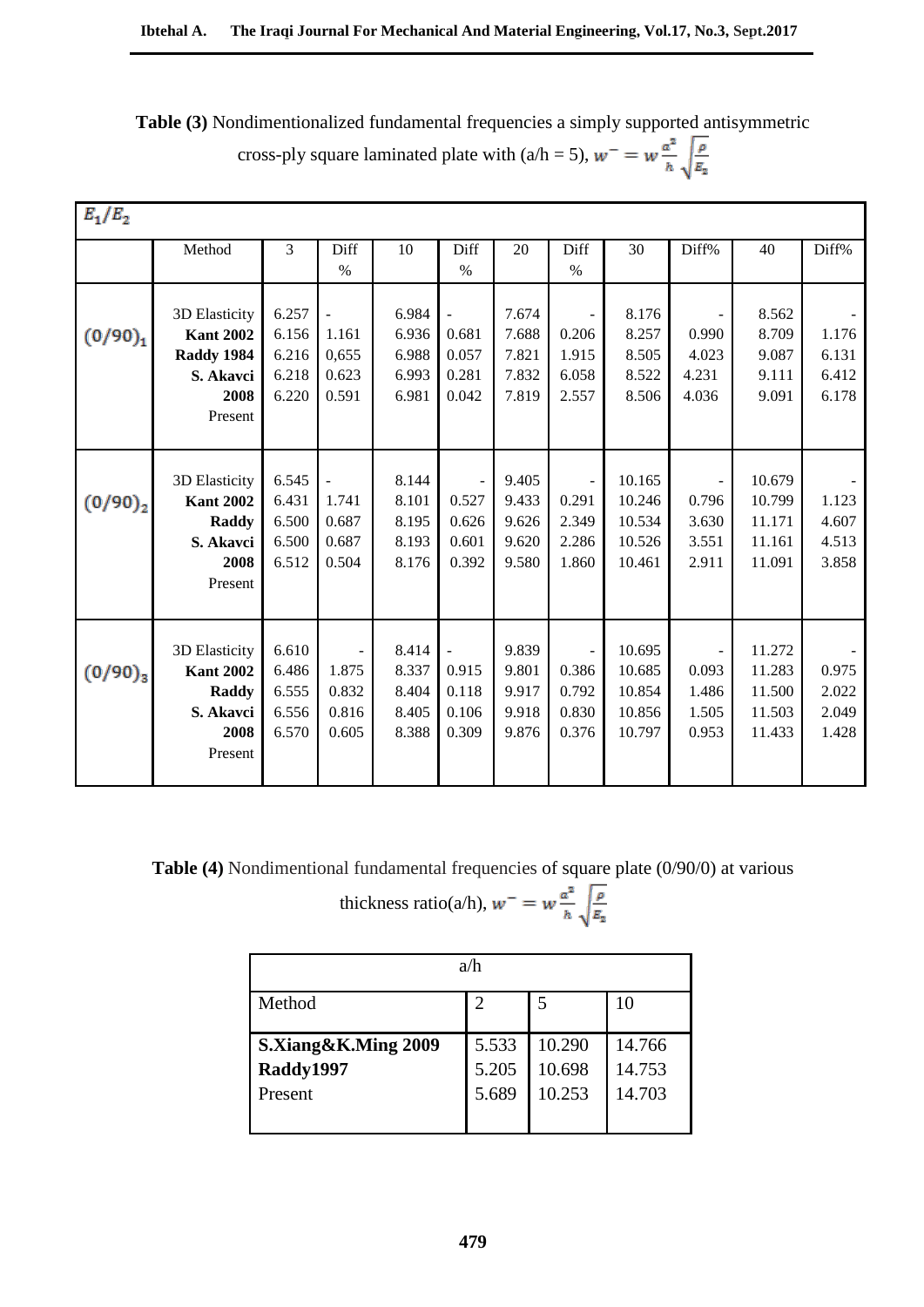**Table (3)** Nondimentionalized fundamental frequencies a simply supported antisymmetric cross-ply square laminated plate with (a/h = 5),  $w^- = w \frac{a^2}{h} \sqrt{\frac{\rho}{E_2}}$ 

| $E_1/E_2$  |                  |       |                |       |                     |       |       |        |       |        |       |
|------------|------------------|-------|----------------|-------|---------------------|-------|-------|--------|-------|--------|-------|
|            | Method           | 3     | Diff           | 10    | Diff                | 20    | Diff  | 30     | Diff% | 40     | Diff% |
|            |                  |       | $\%$           |       | $\%$                |       | $\%$  |        |       |        |       |
|            |                  |       |                |       |                     |       |       |        |       |        |       |
|            | 3D Elasticity    | 6.257 |                | 6.984 | $\Box$              | 7.674 |       | 8.176  |       | 8.562  |       |
| $(0/90)_1$ | <b>Kant 2002</b> | 6.156 | 1.161          | 6.936 | 0.681               | 7.688 | 0.206 | 8.257  | 0.990 | 8.709  | 1.176 |
|            | Raddy 1984       | 6.216 | 0,655          | 6.988 | 0.057               | 7.821 | 1.915 | 8.505  | 4.023 | 9.087  | 6.131 |
|            | S. Akavci        | 6.218 | 0.623          | 6.993 | 0.281               | 7.832 | 6.058 | 8.522  | 4.231 | 9.111  | 6.412 |
|            | 2008             | 6.220 | 0.591          | 6.981 | 0.042               | 7.819 | 2.557 | 8.506  | 4.036 | 9.091  | 6.178 |
|            | Present          |       |                |       |                     |       |       |        |       |        |       |
|            |                  |       |                |       |                     |       |       |        |       |        |       |
|            |                  |       |                |       |                     |       |       |        |       |        |       |
|            | 3D Elasticity    | 6.545 | $\overline{a}$ | 8.144 |                     | 9.405 |       | 10.165 |       | 10.679 |       |
| $(0/90)_2$ | <b>Kant 2002</b> | 6.431 | 1.741          | 8.101 | 0.527               | 9.433 | 0.291 | 10.246 | 0.796 | 10.799 | 1.123 |
|            | Raddy            | 6.500 | 0.687          | 8.195 | 0.626               | 9.626 | 2.349 | 10.534 | 3.630 | 11.171 | 4.607 |
|            | S. Akavci        | 6.500 | 0.687          | 8.193 | 0.601               | 9.620 | 2.286 | 10.526 | 3.551 | 11.161 | 4.513 |
|            | 2008             | 6.512 | 0.504          | 8.176 | 0.392               | 9.580 | 1.860 | 10.461 | 2.911 | 11.091 | 3.858 |
|            | Present          |       |                |       |                     |       |       |        |       |        |       |
|            |                  |       |                |       |                     |       |       |        |       |        |       |
|            |                  |       |                |       |                     |       |       |        |       |        |       |
|            | 3D Elasticity    | 6.610 |                | 8.414 | $\bar{\phantom{a}}$ | 9.839 |       | 10.695 |       | 11.272 |       |
| $(0/90)_3$ | <b>Kant 2002</b> | 6.486 | 1.875          | 8.337 | 0.915               | 9.801 | 0.386 | 10.685 | 0.093 | 11.283 | 0.975 |
|            | Raddy            | 6.555 | 0.832          | 8.404 | 0.118               | 9.917 | 0.792 | 10.854 | 1.486 | 11.500 | 2.022 |
|            | S. Akavci        | 6.556 | 0.816          | 8.405 | 0.106               | 9.918 | 0.830 | 10.856 | 1.505 | 11.503 | 2.049 |
|            | 2008             | 6.570 | 0.605          | 8.388 | 0.309               | 9.876 | 0.376 | 10.797 | 0.953 | 11.433 | 1.428 |
|            | Present          |       |                |       |                     |       |       |        |       |        |       |
|            |                  |       |                |       |                     |       |       |        |       |        |       |

**Table (4)** Nondimentional fundamental frequencies of square plate (0/90/0) at various

thickness ratio(a/h), 
$$
w^{-} = w \frac{a^2}{h} \sqrt{\frac{\rho}{E_2}}
$$

| a/h                                         |                         |                            |                            |  |  |  |
|---------------------------------------------|-------------------------|----------------------------|----------------------------|--|--|--|
| Method                                      | $\mathcal{D}_{1}^{(1)}$ | 5                          | 10                         |  |  |  |
| S.Xiang&K.Ming 2009<br>Raddy1997<br>Present | 5.533<br>5.205<br>5.689 | 10.290<br>10.698<br>10.253 | 14.766<br>14.753<br>14.703 |  |  |  |
|                                             |                         |                            |                            |  |  |  |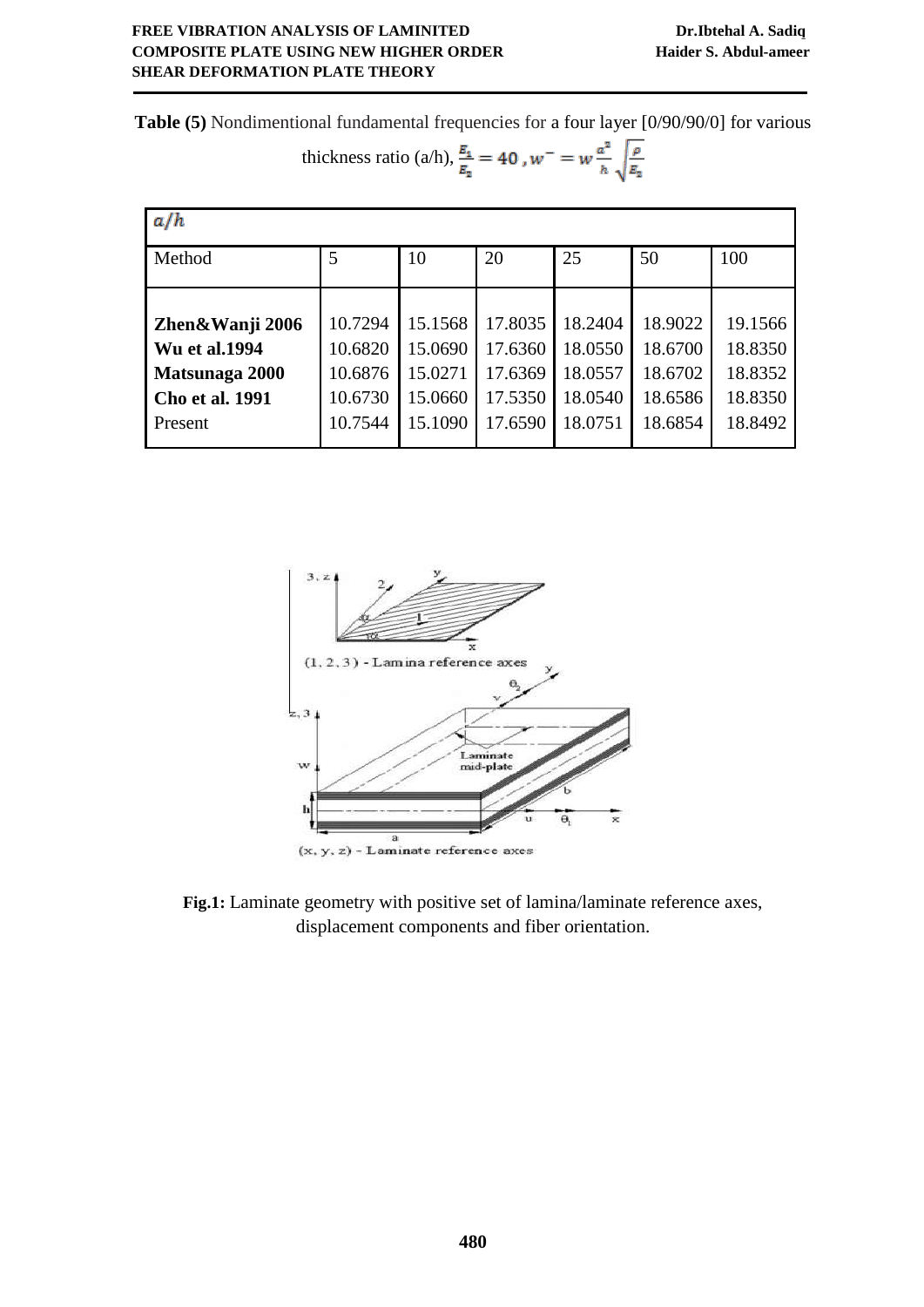**Table (5)** Nondimentional fundamental frequencies for a four layer [0/90/90/0] for various

thickness ratio (a/h), 
$$
\frac{E_1}{E_2} = 40
$$
,  $w^- = w \frac{a^2}{h} \sqrt{\frac{\rho}{E_2}}$ 

| a/h                    |         |         |         |         |         |         |  |  |
|------------------------|---------|---------|---------|---------|---------|---------|--|--|
| Method                 | 5       | 10      | 20      | 25      | 50      | 100     |  |  |
|                        |         |         |         |         |         |         |  |  |
| Zhen&Wanji 2006        | 10.7294 | 15.1568 | 17.8035 | 18.2404 | 18.9022 | 19.1566 |  |  |
| <b>Wu et al.1994</b>   | 10.6820 | 15.0690 | 17.6360 | 18.0550 | 18.6700 | 18.8350 |  |  |
| Matsunaga 2000         | 10.6876 | 15.0271 | 17.6369 | 18.0557 | 18.6702 | 18.8352 |  |  |
| <b>Cho et al. 1991</b> | 10.6730 | 15.0660 | 17.5350 | 18.0540 | 18.6586 | 18.8350 |  |  |
| Present                | 10.7544 | 15.1090 | 17.6590 | 18.0751 | 18.6854 | 18.8492 |  |  |



**Fig.1:** Laminate geometry with positive set of lamina/laminate reference axes, displacement components and fiber orientation.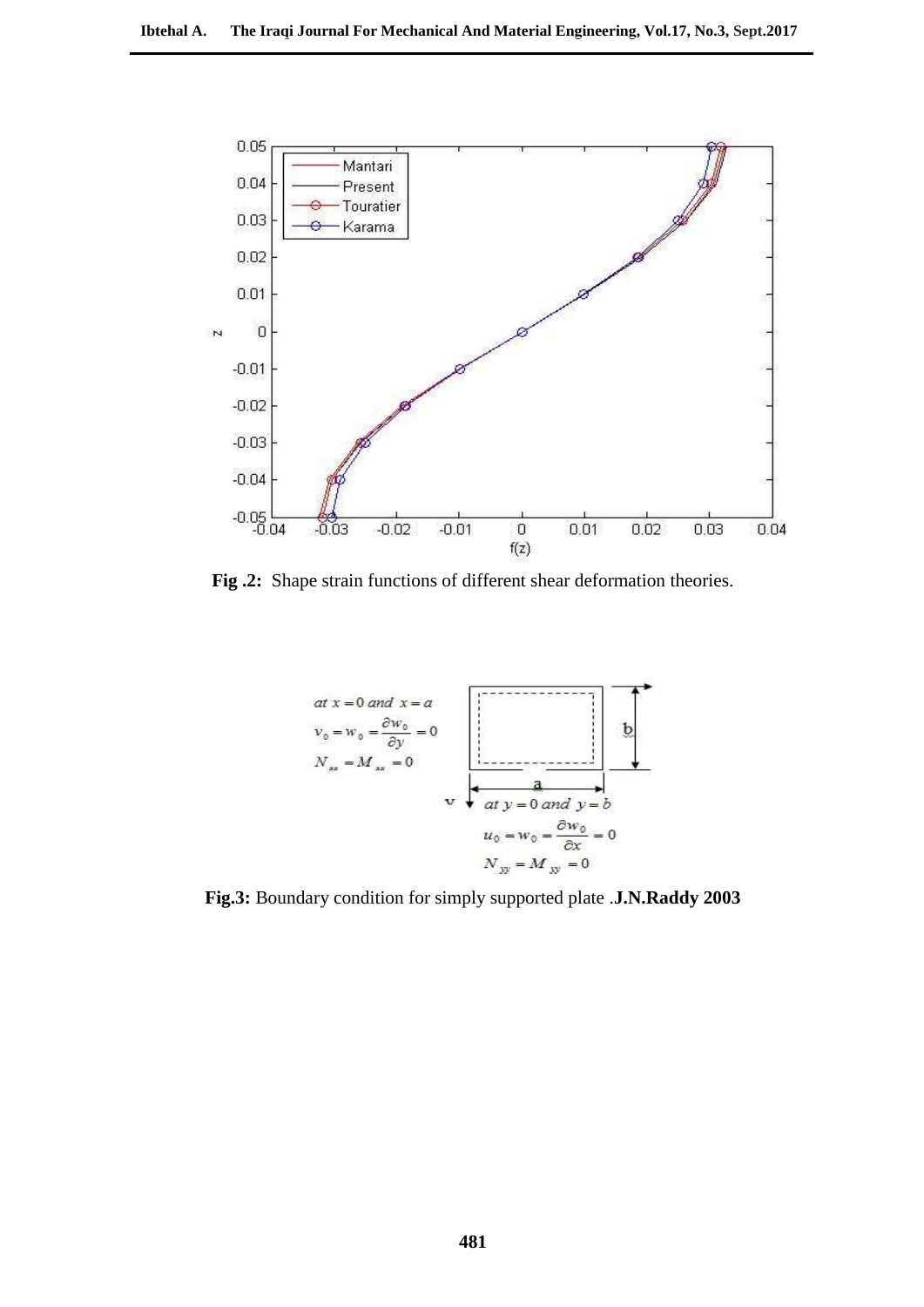

**Fig .2:** Shape strain functions of different shear deformation theories.



**Fig.3:** Boundary condition for simply supported plate .**J.N.Raddy 2003**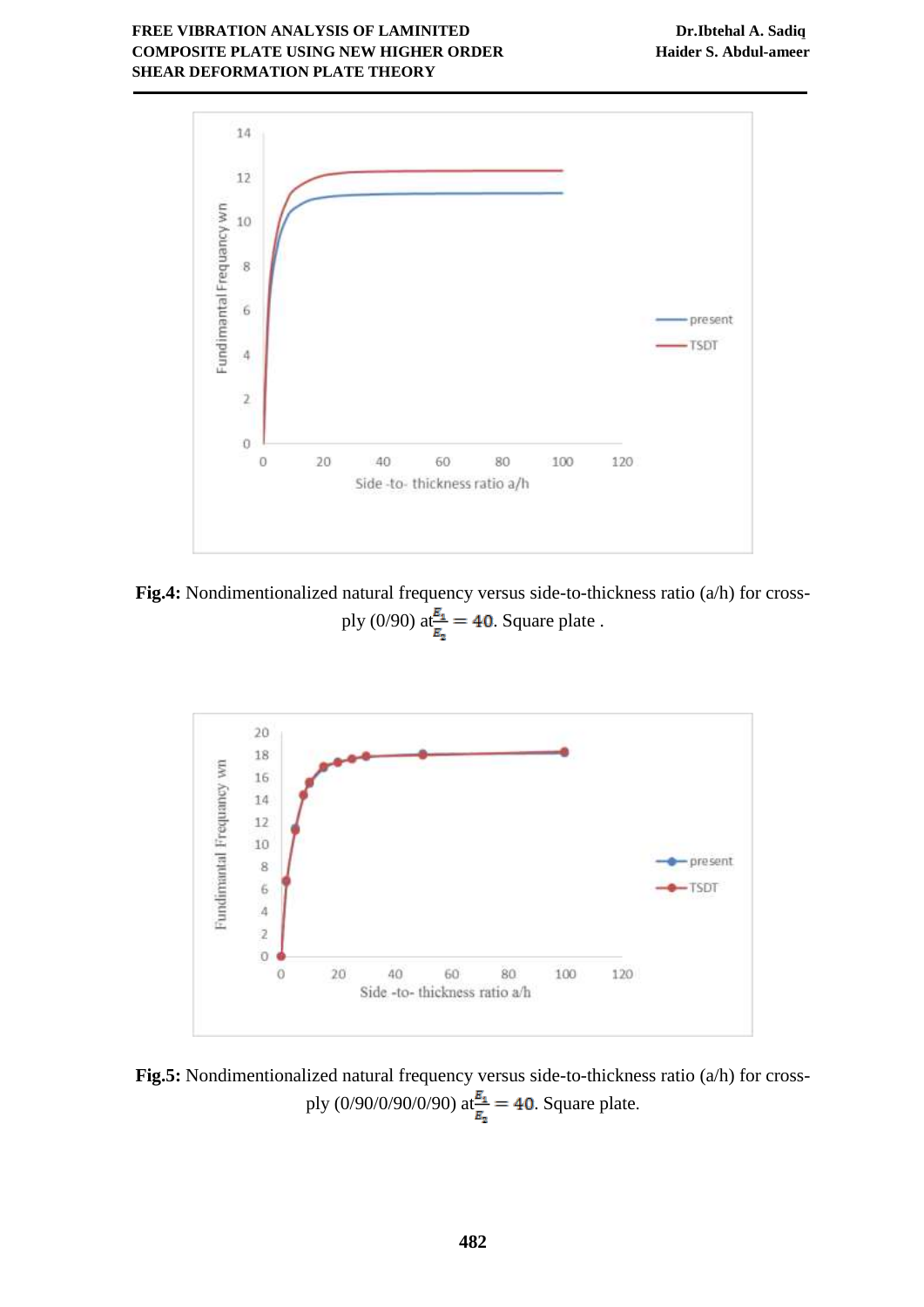

**Fig.4:** Nondimentionalized natural frequency versus side-to-thickness ratio (a/h) for crossply (0/90)  $at_{\frac{E_1}{E_2}} = 40$ . Square plate .



**Fig.5:** Nondimentionalized natural frequency versus side-to-thickness ratio (a/h) for crossply (0/90/0/90/0/90)  $at_{\frac{E_1}{E_2}}^{\frac{E_1}{E_1}} = 40$ . Square plate.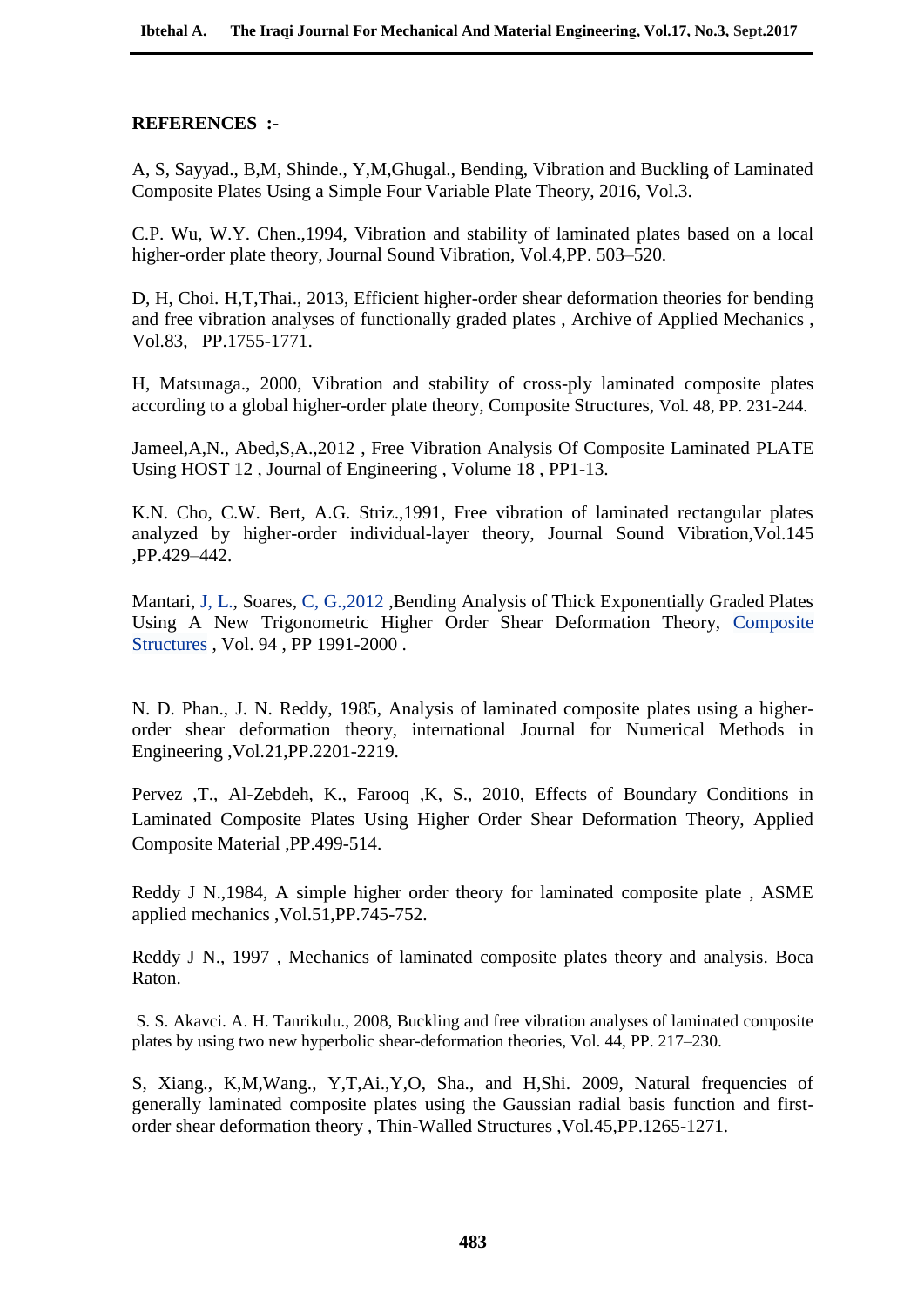# **REFERENCES :-**

A, S, Sayyad., B,M, Shinde., Y,M,Ghugal., Bending, Vibration and Buckling of Laminated Composite Plates Using a Simple Four Variable Plate Theory, 2016, Vol.3.

C.P. Wu, W.Y. Chen.,1994, Vibration and stability of laminated plates based on a local higher-order plate theory, Journal Sound Vibration, Vol.4,PP. 503–520.

D, H, Choi. H,T,Thai., 2013, Efficient higher-order shear deformation theories for bending and free vibration analyses of functionally graded plates , Archive of Applied [Mechanics](http://link.springer.com/journal/419) , Vol.83[,](http://link.springer.com/journal/419/83/12/page/1) PP.1755-1771.

H, Matsunaga., 2000, Vibration and stability of cross-ply laminated composite plates according to a global higher-order plate theory, Composite Structures, Vol. 48, PP. 231-244.

Jameel,A,N., Abed,S,A.,2012 , Free Vibration Analysis Of Composite Laminated PLATE Using HOST 12 , Journal of Engineering , Volume 18 , PP1-13.

K.N. Cho, C.W. Bert, A.G. Striz.,1991, Free vibration of laminated rectangular plates analyzed by higher-order individual-layer theory, Journal Sound Vibration,Vol.145 ,PP.429–442.

Mantari, J, [L.,](http://www.sciencedirect.com/science/article/pii/S026382231200013X) Soares, C, G., 2012, Bending Analysis of Thick Exponentially Graded Plates Using A New Trigonometric Higher Order Shear Deformation Theory, [Composite](http://www.sciencedirect.com/science/journal/02638223) [Structures](http://www.sciencedirect.com/science/journal/02638223) , Vol. 94 , PP 1991-2000 .

N. D. Phan., J. N. Reddy, 1985, Analysis of laminated composite plates using a higherorder shear deformation theory, international Journal for Numerical Methods in Engineering ,Vol.21,PP.2201-2219.

Pervez ,T., Al-Zebdeh, K., Farooq ,K, S., 2010, Effects of Boundary Conditions in Laminated Composite Plates Using Higher Order Shear Deformation Theory, Applied Composite Material ,PP.499-514.

Reddy J N.,1984, A simple higher order theory for laminated composite plate , ASME applied mechanics ,Vol.51,PP.745-752.

Reddy J N., 1997 , Mechanics of laminated composite plates theory and analysis. Boca Raton.

S. S. Akavci. A. H. Tanrikulu., 2008, Buckling and free vibration analyses of laminated composite plates by using two new hyperbolic shear-deformation theories, Vol. 44, PP. 217–230.

S, Xiang., K,M,Wang., Y,T,Ai.,Y,O, Sha., and H,Shi. 2009, Natural frequencies of generally laminated composite plates using the Gaussian radial basis function and firstorder shear deformation theory , Thin-Walled Structures ,Vol.45,PP.1265-1271.